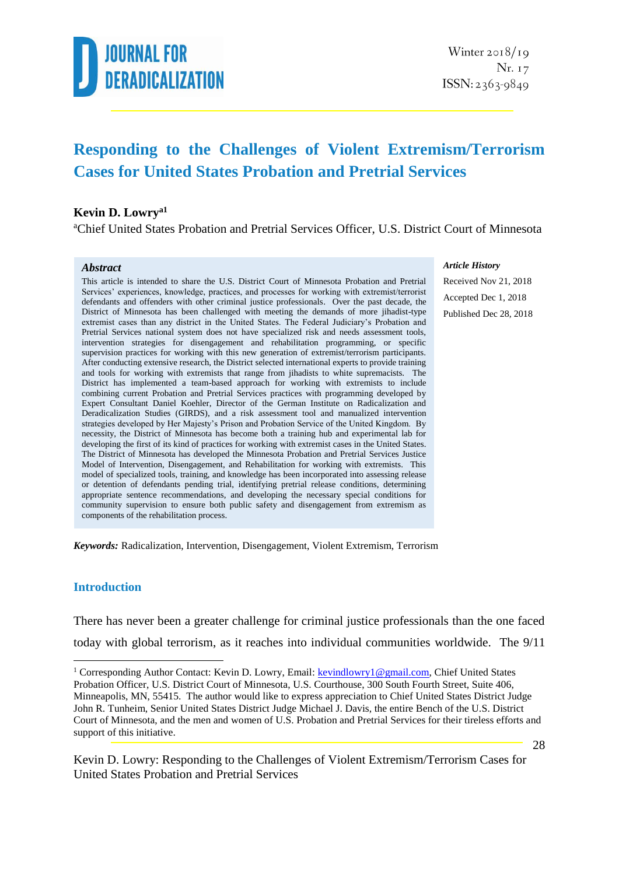

### **Responding to the Challenges of Violent Extremism/Terrorism Cases for United States Probation and Pretrial Services**

#### **Kevin D. Lowrya1**

<sup>a</sup>Chief United States Probation and Pretrial Services Officer, U.S. District Court of Minnesota

#### *Abstract*

This article is intended to share the U.S. District Court of Minnesota Probation and Pretrial Services' experiences, knowledge, practices, and processes for working with extremist/terrorist defendants and offenders with other criminal justice professionals. Over the past decade, the District of Minnesota has been challenged with meeting the demands of more jihadist-type extremist cases than any district in the United States. The Federal Judiciary's Probation and Pretrial Services national system does not have specialized risk and needs assessment tools, intervention strategies for disengagement and rehabilitation programming, or specific supervision practices for working with this new generation of extremist/terrorism participants. After conducting extensive research, the District selected international experts to provide training and tools for working with extremists that range from jihadists to white supremacists. The District has implemented a team-based approach for working with extremists to include combining current Probation and Pretrial Services practices with programming developed by Expert Consultant Daniel Koehler, Director of the German Institute on Radicalization and Deradicalization Studies (GIRDS), and a risk assessment tool and manualized intervention strategies developed by Her Majesty's Prison and Probation Service of the United Kingdom. By necessity, the District of Minnesota has become both a training hub and experimental lab for developing the first of its kind of practices for working with extremist cases in the United States. The District of Minnesota has developed the Minnesota Probation and Pretrial Services Justice Model of Intervention, Disengagement, and Rehabilitation for working with extremists. This model of specialized tools, training, and knowledge has been incorporated into assessing release or detention of defendants pending trial, identifying pretrial release conditions, determining appropriate sentence recommendations, and developing the necessary special conditions for community supervision to ensure both public safety and disengagement from extremism as components of the rehabilitation process.

#### *Article History*

Received Nov 21, 2018 Accepted Dec 1, 2018 Published Dec 28, 2018

*Keywords:* Radicalization, Intervention, Disengagement, Violent Extremism, Terrorism

#### **Introduction**

<u>.</u>

There has never been a greater challenge for criminal justice professionals than the one faced today with global terrorism, as it reaches into individual communities worldwide. The 9/11

<sup>&</sup>lt;sup>1</sup> Corresponding Author Contact: Kevin D. Lowry, Email[: kevindlowry1@gmail.com,](mailto:kevindlowry1@gmail.com) Chief United States Probation Officer, U.S. District Court of Minnesota, U.S. Courthouse, 300 South Fourth Street, Suite 406, Minneapolis, MN, 55415. The author would like to express appreciation to Chief United States District Judge John R. Tunheim, Senior United States District Judge Michael J. Davis, the entire Bench of the U.S. District Court of Minnesota, and the men and women of U.S. Probation and Pretrial Services for their tireless efforts and support of this initiative.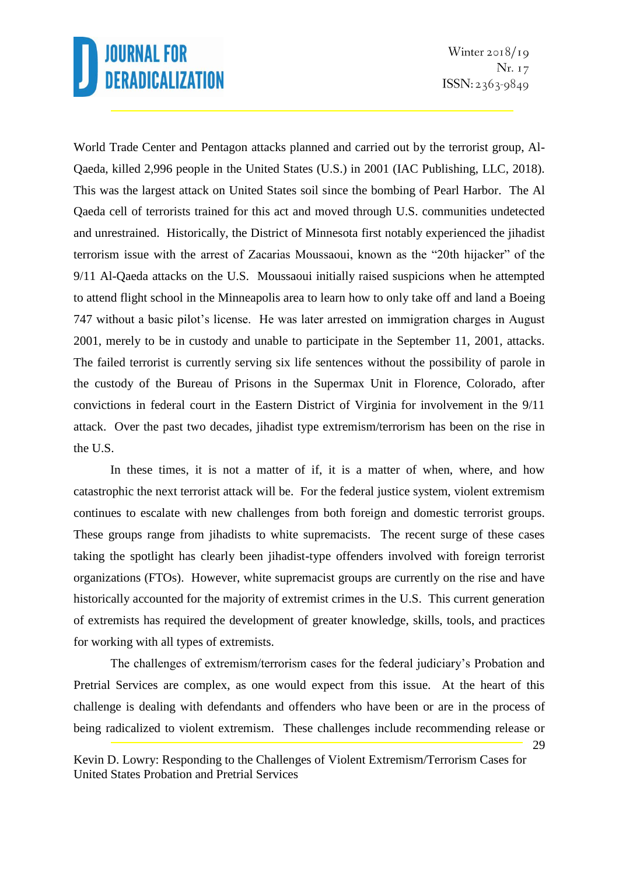Winter  $2018/19$ Nr. 17  $ISSN: 2363-9849$ 

World Trade Center and Pentagon attacks planned and carried out by the terrorist group, Al-Qaeda, killed 2,996 people in the United States (U.S.) in 2001 (IAC Publishing, LLC, 2018). This was the largest attack on United States soil since the bombing of Pearl Harbor. The Al Qaeda cell of terrorists trained for this act and moved through U.S. communities undetected and unrestrained. Historically, the District of Minnesota first notably experienced the jihadist terrorism issue with the arrest of Zacarias Moussaoui, known as the "20th hijacker" of the 9/11 Al-Qaeda attacks on the U.S. Moussaoui initially raised suspicions when he attempted to attend flight school in the Minneapolis area to learn how to only take off and land a Boeing 747 without a basic pilot's license. He was later arrested on immigration charges in August 2001, merely to be in custody and unable to participate in the September 11, 2001, attacks. The failed terrorist is currently serving six life sentences without the possibility of parole in the custody of the Bureau of Prisons in the Supermax Unit in Florence, Colorado, after convictions in federal court in the Eastern District of Virginia for involvement in the 9/11 attack. Over the past two decades, jihadist type extremism/terrorism has been on the rise in the U.S.

In these times, it is not a matter of if, it is a matter of when, where, and how catastrophic the next terrorist attack will be. For the federal justice system, violent extremism continues to escalate with new challenges from both foreign and domestic terrorist groups. These groups range from jihadists to white supremacists. The recent surge of these cases taking the spotlight has clearly been jihadist-type offenders involved with foreign terrorist organizations (FTOs). However, white supremacist groups are currently on the rise and have historically accounted for the majority of extremist crimes in the U.S. This current generation of extremists has required the development of greater knowledge, skills, tools, and practices for working with all types of extremists.

29 The challenges of extremism/terrorism cases for the federal judiciary's Probation and Pretrial Services are complex, as one would expect from this issue. At the heart of this challenge is dealing with defendants and offenders who have been or are in the process of being radicalized to violent extremism. These challenges include recommending release or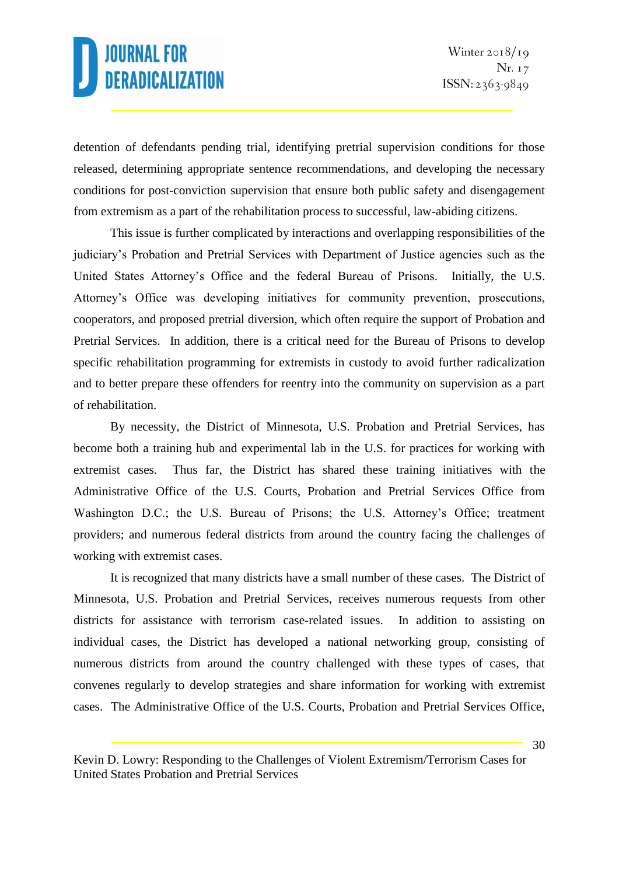detention of defendants pending trial, identifying pretrial supervision conditions for those released, determining appropriate sentence recommendations, and developing the necessary conditions for post-conviction supervision that ensure both public safety and disengagement from extremism as a part of the rehabilitation process to successful, law-abiding citizens.

This issue is further complicated by interactions and overlapping responsibilities of the judiciary's Probation and Pretrial Services with Department of Justice agencies such as the United States Attorney's Office and the federal Bureau of Prisons. Initially, the U.S. Attorney's Office was developing initiatives for community prevention, prosecutions, cooperators, and proposed pretrial diversion, which often require the support of Probation and Pretrial Services. In addition, there is a critical need for the Bureau of Prisons to develop specific rehabilitation programming for extremists in custody to avoid further radicalization and to better prepare these offenders for reentry into the community on supervision as a part of rehabilitation.

By necessity, the District of Minnesota, U.S. Probation and Pretrial Services, has become both a training hub and experimental lab in the U.S. for practices for working with extremist cases. Thus far, the District has shared these training initiatives with the Administrative Office of the U.S. Courts, Probation and Pretrial Services Office from Washington D.C.; the U.S. Bureau of Prisons; the U.S. Attorney's Office; treatment providers; and numerous federal districts from around the country facing the challenges of working with extremist cases.

It is recognized that many districts have a small number of these cases. The District of Minnesota, U.S. Probation and Pretrial Services, receives numerous requests from other districts for assistance with terrorism case-related issues. In addition to assisting on individual cases, the District has developed a national networking group, consisting of numerous districts from around the country challenged with these types of cases, that convenes regularly to develop strategies and share information for working with extremist cases. The Administrative Office of the U.S. Courts, Probation and Pretrial Services Office,

Kevin D. Lowry: Responding to the Challenges of Violent Extremism/Terrorism Cases for United States Probation and Pretrial Services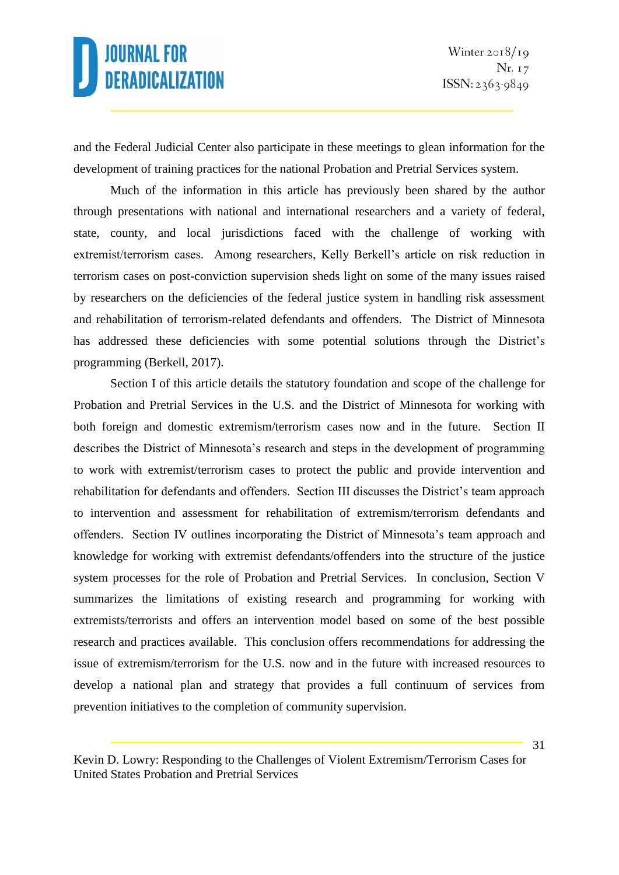and the Federal Judicial Center also participate in these meetings to glean information for the development of training practices for the national Probation and Pretrial Services system.

Much of the information in this article has previously been shared by the author through presentations with national and international researchers and a variety of federal, state, county, and local jurisdictions faced with the challenge of working with extremist/terrorism cases. Among researchers, Kelly Berkell's article on risk reduction in terrorism cases on post-conviction supervision sheds light on some of the many issues raised by researchers on the deficiencies of the federal justice system in handling risk assessment and rehabilitation of terrorism-related defendants and offenders. The District of Minnesota has addressed these deficiencies with some potential solutions through the District's programming (Berkell, 2017).

Section I of this article details the statutory foundation and scope of the challenge for Probation and Pretrial Services in the U.S. and the District of Minnesota for working with both foreign and domestic extremism/terrorism cases now and in the future. Section II describes the District of Minnesota's research and steps in the development of programming to work with extremist/terrorism cases to protect the public and provide intervention and rehabilitation for defendants and offenders. Section III discusses the District's team approach to intervention and assessment for rehabilitation of extremism/terrorism defendants and offenders. Section IV outlines incorporating the District of Minnesota's team approach and knowledge for working with extremist defendants/offenders into the structure of the justice system processes for the role of Probation and Pretrial Services. In conclusion, Section V summarizes the limitations of existing research and programming for working with extremists/terrorists and offers an intervention model based on some of the best possible research and practices available. This conclusion offers recommendations for addressing the issue of extremism/terrorism for the U.S. now and in the future with increased resources to develop a national plan and strategy that provides a full continuum of services from prevention initiatives to the completion of community supervision.

Kevin D. Lowry: Responding to the Challenges of Violent Extremism/Terrorism Cases for United States Probation and Pretrial Services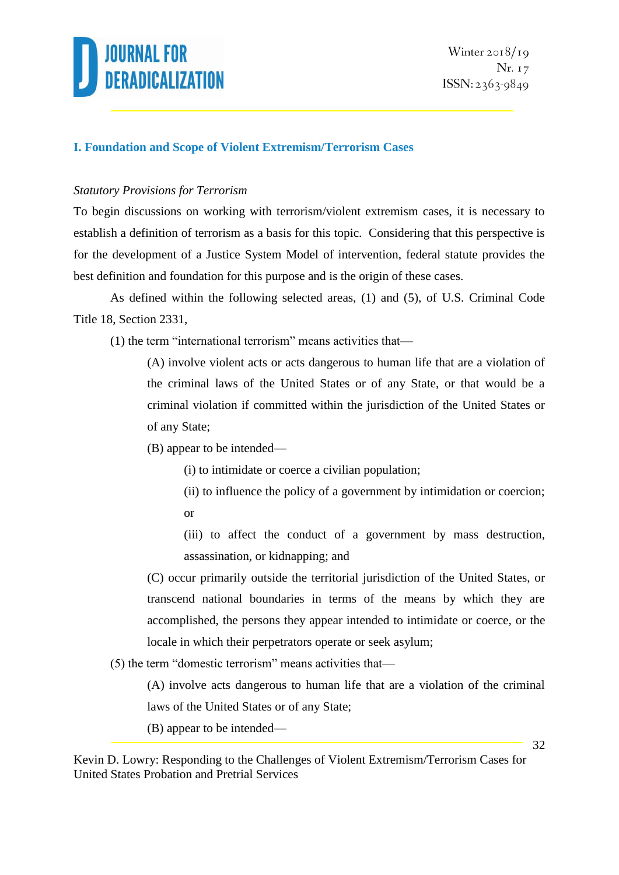

#### **I. Foundation and Scope of Violent Extremism/Terrorism Cases**

#### *Statutory Provisions for Terrorism*

To begin discussions on working with terrorism/violent extremism cases, it is necessary to establish a definition of terrorism as a basis for this topic. Considering that this perspective is for the development of a Justice System Model of intervention, federal statute provides the best definition and foundation for this purpose and is the origin of these cases.

As defined within the following selected areas, (1) and (5), of U.S. Criminal Code Title 18, Section 2331,

(1) the term "international terrorism" means activities that—

(A) involve violent acts or acts dangerous to human life that are a violation of the criminal laws of the United States or of any State, or that would be a criminal violation if committed within the jurisdiction of the United States or of any State;

(B) appear to be intended—

(i) to intimidate or coerce a civilian population;

(ii) to influence the policy of a government by intimidation or coercion; or

(iii) to affect the conduct of a government by mass destruction, assassination, or kidnapping; and

(C) occur primarily outside the territorial jurisdiction of the United States, or transcend national boundaries in terms of the means by which they are accomplished, the persons they appear intended to intimidate or coerce, or the locale in which their perpetrators operate or seek asylum;

(5) the term "domestic terrorism" means activities that—

(A) involve acts dangerous to human life that are a violation of the criminal laws of the United States or of any State;

(B) appear to be intended—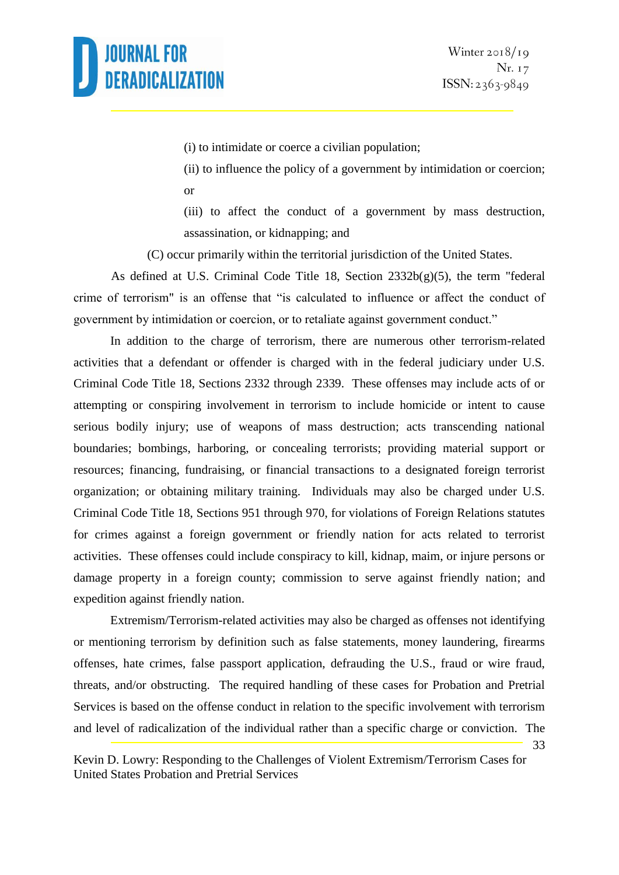33

(i) to intimidate or coerce a civilian population;

(ii) to influence the policy of a government by intimidation or coercion; or

(iii) to affect the conduct of a government by mass destruction, assassination, or kidnapping; and

(C) occur primarily within the territorial jurisdiction of the United States.

As defined at U.S. Criminal Code Title 18, Section 2332b(g)(5), the term "federal crime of terrorism" is an offense that "is calculated to influence or affect the conduct of government by intimidation or coercion, or to retaliate against government conduct."

In addition to the charge of terrorism, there are numerous other terrorism-related activities that a defendant or offender is charged with in the federal judiciary under U.S. Criminal Code Title 18, Sections 2332 through 2339. These offenses may include acts of or attempting or conspiring involvement in terrorism to include homicide or intent to cause serious bodily injury; use of weapons of mass destruction; acts transcending national boundaries; bombings, harboring, or concealing terrorists; providing material support or resources; financing, fundraising, or financial transactions to a designated foreign terrorist organization; or obtaining military training. Individuals may also be charged under U.S. Criminal Code Title 18, Sections 951 through 970, for violations of Foreign Relations statutes for crimes against a foreign government or friendly nation for acts related to terrorist activities. These offenses could include conspiracy to kill, kidnap, maim, or injure persons or damage property in a foreign county; commission to serve against friendly nation; and expedition against friendly nation.

Extremism/Terrorism-related activities may also be charged as offenses not identifying or mentioning terrorism by definition such as false statements, money laundering, firearms offenses, hate crimes, false passport application, defrauding the U.S., fraud or wire fraud, threats, and/or obstructing. The required handling of these cases for Probation and Pretrial Services is based on the offense conduct in relation to the specific involvement with terrorism and level of radicalization of the individual rather than a specific charge or conviction. The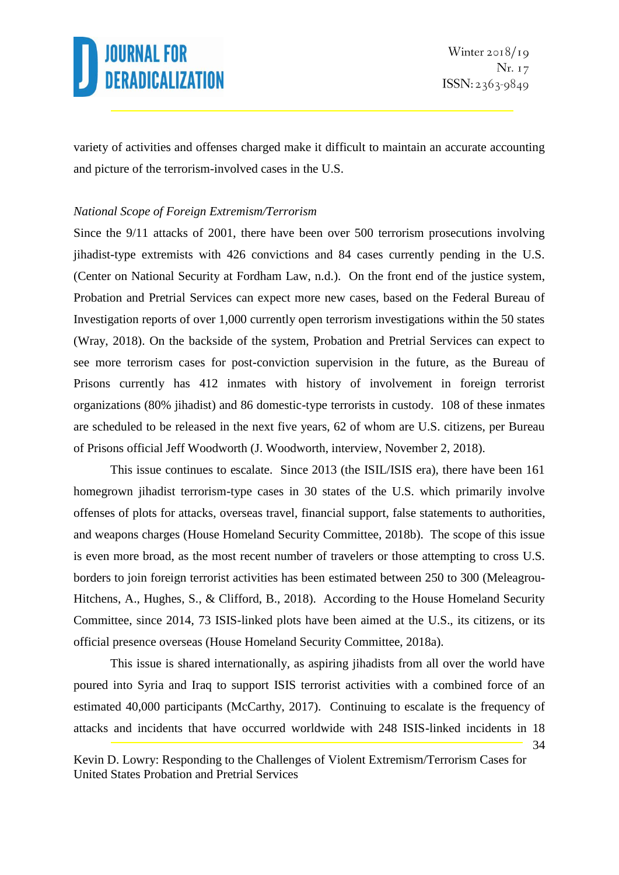34

variety of activities and offenses charged make it difficult to maintain an accurate accounting and picture of the terrorism-involved cases in the U.S.

#### *National Scope of Foreign Extremism/Terrorism*

Since the 9/11 attacks of 2001, there have been over 500 terrorism prosecutions involving jihadist-type extremists with 426 convictions and 84 cases currently pending in the U.S. (Center on National Security at Fordham Law, n.d.). On the front end of the justice system, Probation and Pretrial Services can expect more new cases, based on the Federal Bureau of Investigation reports of over 1,000 currently open terrorism investigations within the 50 states (Wray, 2018). On the backside of the system, Probation and Pretrial Services can expect to see more terrorism cases for post-conviction supervision in the future, as the Bureau of Prisons currently has 412 inmates with history of involvement in foreign terrorist organizations (80% jihadist) and 86 domestic-type terrorists in custody. 108 of these inmates are scheduled to be released in the next five years, 62 of whom are U.S. citizens, per Bureau of Prisons official Jeff Woodworth (J. Woodworth, interview, November 2, 2018).

This issue continues to escalate. Since 2013 (the ISIL/ISIS era), there have been 161 homegrown jihadist terrorism-type cases in 30 states of the U.S. which primarily involve offenses of plots for attacks, overseas travel, financial support, false statements to authorities, and weapons charges (House Homeland Security Committee, 2018b). The scope of this issue is even more broad, as the most recent number of travelers or those attempting to cross U.S. borders to join foreign terrorist activities has been estimated between 250 to 300 (Meleagrou-Hitchens, A., Hughes, S., & Clifford, B., 2018). According to the House Homeland Security Committee, since 2014, 73 ISIS-linked plots have been aimed at the U.S., its citizens, or its official presence overseas (House Homeland Security Committee, 2018a).

This issue is shared internationally, as aspiring jihadists from all over the world have poured into Syria and Iraq to support ISIS terrorist activities with a combined force of an estimated 40,000 participants (McCarthy, 2017). Continuing to escalate is the frequency of attacks and incidents that have occurred worldwide with 248 ISIS-linked incidents in 18

Kevin D. Lowry: Responding to the Challenges of Violent Extremism/Terrorism Cases for United States Probation and Pretrial Services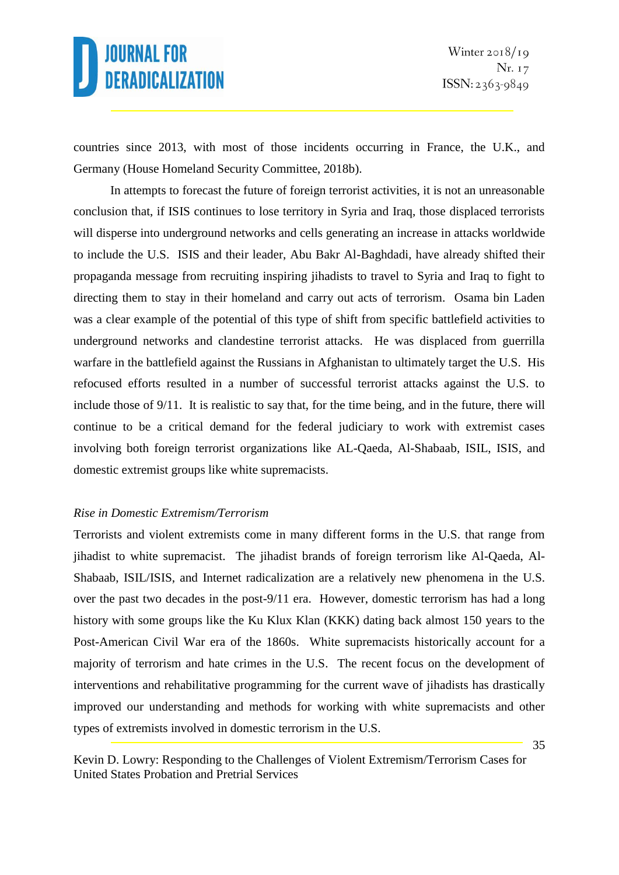countries since 2013, with most of those incidents occurring in France, the U.K., and Germany (House Homeland Security Committee, 2018b).

In attempts to forecast the future of foreign terrorist activities, it is not an unreasonable conclusion that, if ISIS continues to lose territory in Syria and Iraq, those displaced terrorists will disperse into underground networks and cells generating an increase in attacks worldwide to include the U.S. ISIS and their leader, Abu Bakr Al-Baghdadi, have already shifted their propaganda message from recruiting inspiring jihadists to travel to Syria and Iraq to fight to directing them to stay in their homeland and carry out acts of terrorism. Osama bin Laden was a clear example of the potential of this type of shift from specific battlefield activities to underground networks and clandestine terrorist attacks. He was displaced from guerrilla warfare in the battlefield against the Russians in Afghanistan to ultimately target the U.S. His refocused efforts resulted in a number of successful terrorist attacks against the U.S. to include those of 9/11. It is realistic to say that, for the time being, and in the future, there will continue to be a critical demand for the federal judiciary to work with extremist cases involving both foreign terrorist organizations like AL-Qaeda, Al-Shabaab, ISIL, ISIS, and domestic extremist groups like white supremacists.

#### *Rise in Domestic Extremism/Terrorism*

Terrorists and violent extremists come in many different forms in the U.S. that range from jihadist to white supremacist. The jihadist brands of foreign terrorism like Al-Qaeda, Al-Shabaab, ISIL/ISIS, and Internet radicalization are a relatively new phenomena in the U.S. over the past two decades in the post-9/11 era. However, domestic terrorism has had a long history with some groups like the Ku Klux Klan (KKK) dating back almost 150 years to the Post-American Civil War era of the 1860s. White supremacists historically account for a majority of terrorism and hate crimes in the U.S. The recent focus on the development of interventions and rehabilitative programming for the current wave of jihadists has drastically improved our understanding and methods for working with white supremacists and other types of extremists involved in domestic terrorism in the U.S.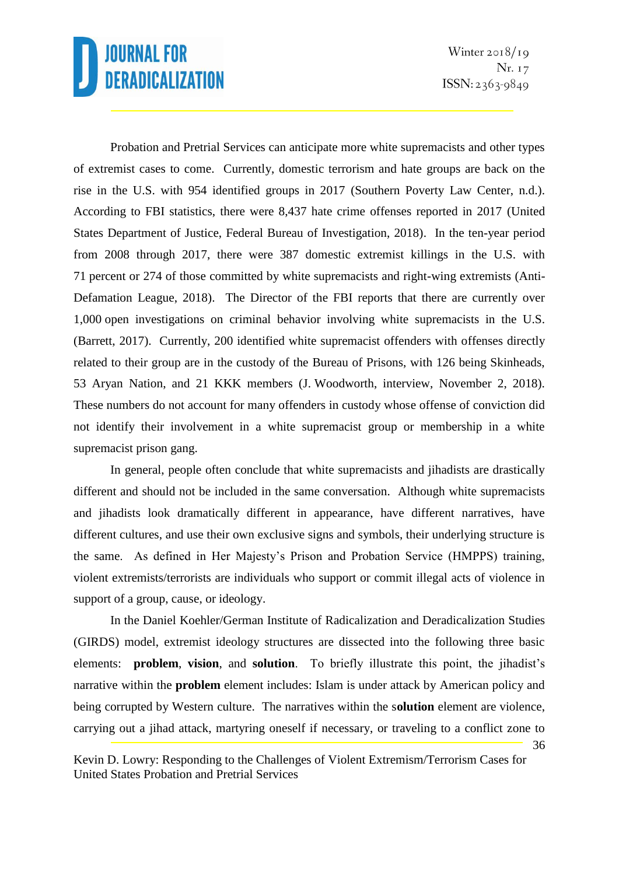Winter  $2018/19$ Nr. 17  $ISSN: 2363-9849$ 

36

Probation and Pretrial Services can anticipate more white supremacists and other types of extremist cases to come. Currently, domestic terrorism and hate groups are back on the rise in the U.S. with 954 identified groups in 2017 (Southern Poverty Law Center, n.d.). According to FBI statistics, there were 8,437 hate crime offenses reported in 2017 (United States Department of Justice, Federal Bureau of Investigation, 2018). In the ten-year period from 2008 through 2017, there were 387 domestic extremist killings in the U.S. with 71 percent or 274 of those committed by white supremacists and right-wing extremists (Anti-Defamation League, 2018). The Director of the FBI reports that there are currently over 1,000 open investigations on criminal behavior involving white supremacists in the U.S. (Barrett, 2017). Currently, 200 identified white supremacist offenders with offenses directly related to their group are in the custody of the Bureau of Prisons, with 126 being Skinheads, 53 Aryan Nation, and 21 KKK members (J. Woodworth, interview, November 2, 2018). These numbers do not account for many offenders in custody whose offense of conviction did not identify their involvement in a white supremacist group or membership in a white supremacist prison gang.

In general, people often conclude that white supremacists and jihadists are drastically different and should not be included in the same conversation. Although white supremacists and jihadists look dramatically different in appearance, have different narratives, have different cultures, and use their own exclusive signs and symbols, their underlying structure is the same. As defined in Her Majesty's Prison and Probation Service (HMPPS) training, violent extremists/terrorists are individuals who support or commit illegal acts of violence in support of a group, cause, or ideology.

In the Daniel Koehler/German Institute of Radicalization and Deradicalization Studies (GIRDS) model, extremist ideology structures are dissected into the following three basic elements: **problem**, **vision**, and **solution**. To briefly illustrate this point, the jihadist's narrative within the **problem** element includes: Islam is under attack by American policy and being corrupted by Western culture. The narratives within the s**olution** element are violence, carrying out a jihad attack, martyring oneself if necessary, or traveling to a conflict zone to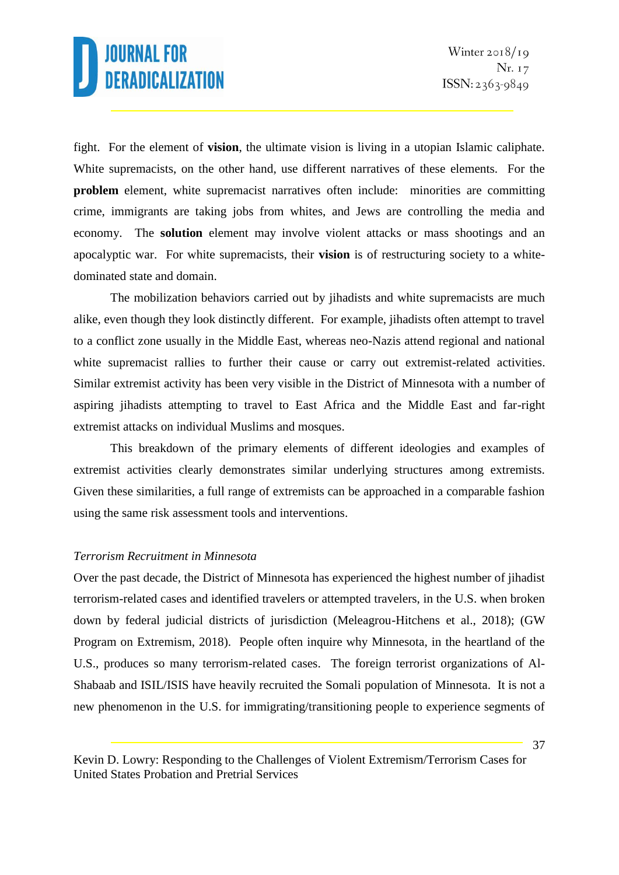fight. For the element of **vision**, the ultimate vision is living in a utopian Islamic caliphate. White supremacists, on the other hand, use different narratives of these elements. For the **problem** element, white supremacist narratives often include: minorities are committing crime, immigrants are taking jobs from whites, and Jews are controlling the media and economy. The **solution** element may involve violent attacks or mass shootings and an apocalyptic war. For white supremacists, their **vision** is of restructuring society to a whitedominated state and domain.

The mobilization behaviors carried out by jihadists and white supremacists are much alike, even though they look distinctly different. For example, jihadists often attempt to travel to a conflict zone usually in the Middle East, whereas neo-Nazis attend regional and national white supremacist rallies to further their cause or carry out extremist-related activities. Similar extremist activity has been very visible in the District of Minnesota with a number of aspiring jihadists attempting to travel to East Africa and the Middle East and far-right extremist attacks on individual Muslims and mosques.

This breakdown of the primary elements of different ideologies and examples of extremist activities clearly demonstrates similar underlying structures among extremists. Given these similarities, a full range of extremists can be approached in a comparable fashion using the same risk assessment tools and interventions.

#### *Terrorism Recruitment in Minnesota*

Over the past decade, the District of Minnesota has experienced the highest number of jihadist terrorism-related cases and identified travelers or attempted travelers, in the U.S. when broken down by federal judicial districts of jurisdiction (Meleagrou-Hitchens et al., 2018); (GW Program on Extremism, 2018). People often inquire why Minnesota, in the heartland of the U.S., produces so many terrorism-related cases. The foreign terrorist organizations of Al-Shabaab and ISIL/ISIS have heavily recruited the Somali population of Minnesota. It is not a new phenomenon in the U.S. for immigrating/transitioning people to experience segments of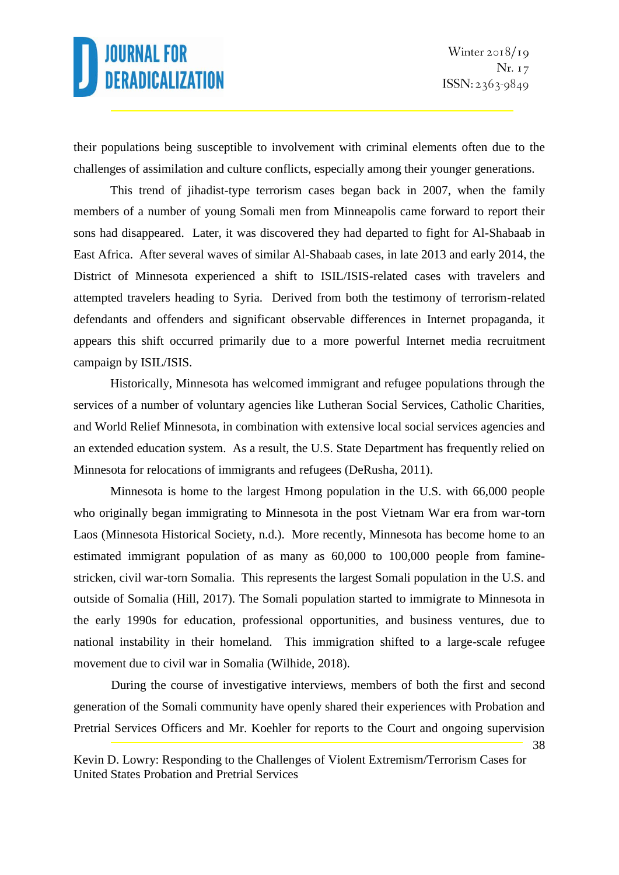their populations being susceptible to involvement with criminal elements often due to the challenges of assimilation and culture conflicts, especially among their younger generations.

This trend of jihadist-type terrorism cases began back in 2007, when the family members of a number of young Somali men from Minneapolis came forward to report their sons had disappeared. Later, it was discovered they had departed to fight for Al-Shabaab in East Africa. After several waves of similar Al-Shabaab cases, in late 2013 and early 2014, the District of Minnesota experienced a shift to ISIL/ISIS-related cases with travelers and attempted travelers heading to Syria. Derived from both the testimony of terrorism-related defendants and offenders and significant observable differences in Internet propaganda, it appears this shift occurred primarily due to a more powerful Internet media recruitment campaign by ISIL/ISIS.

Historically, Minnesota has welcomed immigrant and refugee populations through the services of a number of voluntary agencies like Lutheran Social Services, Catholic Charities, and World Relief Minnesota, in combination with extensive local social services agencies and an extended education system. As a result, the U.S. State Department has frequently relied on Minnesota for relocations of immigrants and refugees (DeRusha, 2011).

Minnesota is home to the largest Hmong population in the U.S. with 66,000 people who originally began immigrating to Minnesota in the post Vietnam War era from war-torn Laos (Minnesota Historical Society, n.d.). More recently, Minnesota has become home to an estimated immigrant population of as many as 60,000 to 100,000 people from faminestricken, civil war-torn Somalia. This represents the largest Somali population in the U.S. and outside of Somalia (Hill, 2017). The Somali population started to immigrate to Minnesota in the early 1990s for education, professional opportunities, and business ventures, due to national instability in their homeland. This immigration shifted to a large-scale refugee movement due to civil war in Somalia (Wilhide, 2018).

During the course of investigative interviews, members of both the first and second generation of the Somali community have openly shared their experiences with Probation and Pretrial Services Officers and Mr. Koehler for reports to the Court and ongoing supervision

Kevin D. Lowry: Responding to the Challenges of Violent Extremism/Terrorism Cases for United States Probation and Pretrial Services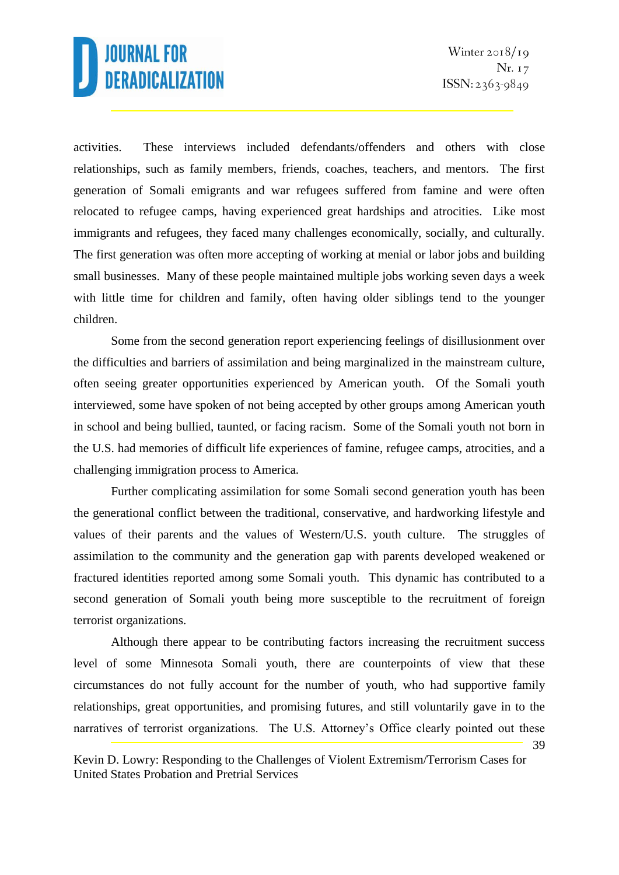activities. These interviews included defendants/offenders and others with close relationships, such as family members, friends, coaches, teachers, and mentors. The first generation of Somali emigrants and war refugees suffered from famine and were often relocated to refugee camps, having experienced great hardships and atrocities. Like most immigrants and refugees, they faced many challenges economically, socially, and culturally. The first generation was often more accepting of working at menial or labor jobs and building small businesses. Many of these people maintained multiple jobs working seven days a week with little time for children and family, often having older siblings tend to the younger children.

Some from the second generation report experiencing feelings of disillusionment over the difficulties and barriers of assimilation and being marginalized in the mainstream culture, often seeing greater opportunities experienced by American youth. Of the Somali youth interviewed, some have spoken of not being accepted by other groups among American youth in school and being bullied, taunted, or facing racism. Some of the Somali youth not born in the U.S. had memories of difficult life experiences of famine, refugee camps, atrocities, and a challenging immigration process to America.

Further complicating assimilation for some Somali second generation youth has been the generational conflict between the traditional, conservative, and hardworking lifestyle and values of their parents and the values of Western/U.S. youth culture. The struggles of assimilation to the community and the generation gap with parents developed weakened or fractured identities reported among some Somali youth. This dynamic has contributed to a second generation of Somali youth being more susceptible to the recruitment of foreign terrorist organizations.

39 Although there appear to be contributing factors increasing the recruitment success level of some Minnesota Somali youth, there are counterpoints of view that these circumstances do not fully account for the number of youth, who had supportive family relationships, great opportunities, and promising futures, and still voluntarily gave in to the narratives of terrorist organizations. The U.S. Attorney's Office clearly pointed out these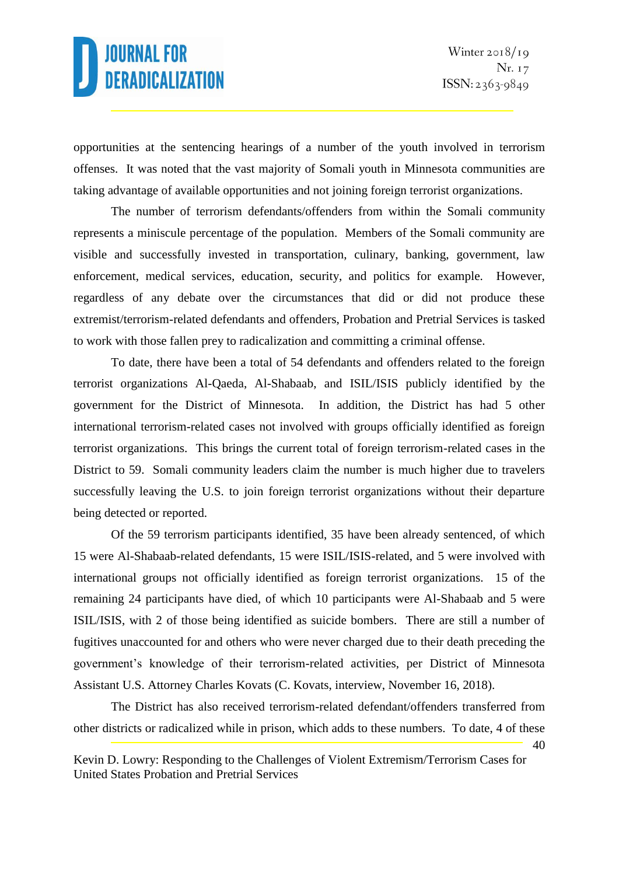40

opportunities at the sentencing hearings of a number of the youth involved in terrorism offenses. It was noted that the vast majority of Somali youth in Minnesota communities are taking advantage of available opportunities and not joining foreign terrorist organizations.

The number of terrorism defendants/offenders from within the Somali community represents a miniscule percentage of the population. Members of the Somali community are visible and successfully invested in transportation, culinary, banking, government, law enforcement, medical services, education, security, and politics for example. However, regardless of any debate over the circumstances that did or did not produce these extremist/terrorism-related defendants and offenders, Probation and Pretrial Services is tasked to work with those fallen prey to radicalization and committing a criminal offense.

To date, there have been a total of 54 defendants and offenders related to the foreign terrorist organizations Al-Qaeda, Al-Shabaab, and ISIL/ISIS publicly identified by the government for the District of Minnesota. In addition, the District has had 5 other international terrorism-related cases not involved with groups officially identified as foreign terrorist organizations. This brings the current total of foreign terrorism-related cases in the District to 59. Somali community leaders claim the number is much higher due to travelers successfully leaving the U.S. to join foreign terrorist organizations without their departure being detected or reported.

Of the 59 terrorism participants identified, 35 have been already sentenced, of which 15 were Al-Shabaab-related defendants, 15 were ISIL/ISIS-related, and 5 were involved with international groups not officially identified as foreign terrorist organizations. 15 of the remaining 24 participants have died, of which 10 participants were Al-Shabaab and 5 were ISIL/ISIS, with 2 of those being identified as suicide bombers. There are still a number of fugitives unaccounted for and others who were never charged due to their death preceding the government's knowledge of their terrorism-related activities, per District of Minnesota Assistant U.S. Attorney Charles Kovats (C. Kovats, interview, November 16, 2018).

The District has also received terrorism-related defendant/offenders transferred from other districts or radicalized while in prison, which adds to these numbers. To date, 4 of these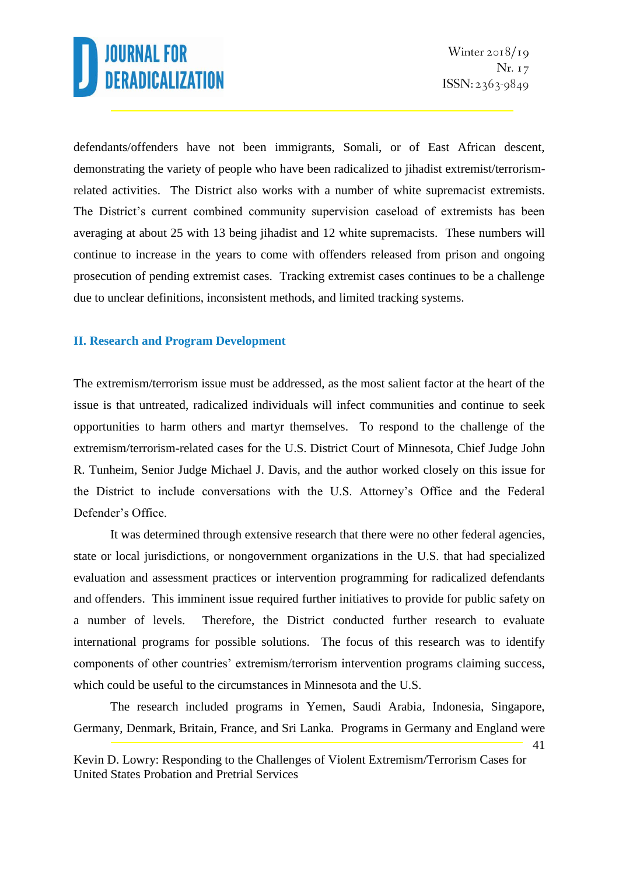defendants/offenders have not been immigrants, Somali, or of East African descent, demonstrating the variety of people who have been radicalized to jihadist extremist/terrorismrelated activities. The District also works with a number of white supremacist extremists. The District's current combined community supervision caseload of extremists has been averaging at about 25 with 13 being jihadist and 12 white supremacists. These numbers will continue to increase in the years to come with offenders released from prison and ongoing prosecution of pending extremist cases. Tracking extremist cases continues to be a challenge due to unclear definitions, inconsistent methods, and limited tracking systems.

#### **II. Research and Program Development**

The extremism/terrorism issue must be addressed, as the most salient factor at the heart of the issue is that untreated, radicalized individuals will infect communities and continue to seek opportunities to harm others and martyr themselves. To respond to the challenge of the extremism/terrorism-related cases for the U.S. District Court of Minnesota, Chief Judge John R. Tunheim, Senior Judge Michael J. Davis, and the author worked closely on this issue for the District to include conversations with the U.S. Attorney's Office and the Federal Defender's Office.

It was determined through extensive research that there were no other federal agencies, state or local jurisdictions, or nongovernment organizations in the U.S. that had specialized evaluation and assessment practices or intervention programming for radicalized defendants and offenders. This imminent issue required further initiatives to provide for public safety on a number of levels. Therefore, the District conducted further research to evaluate international programs for possible solutions. The focus of this research was to identify components of other countries' extremism/terrorism intervention programs claiming success, which could be useful to the circumstances in Minnesota and the U.S.

The research included programs in Yemen, Saudi Arabia, Indonesia, Singapore, Germany, Denmark, Britain, France, and Sri Lanka. Programs in Germany and England were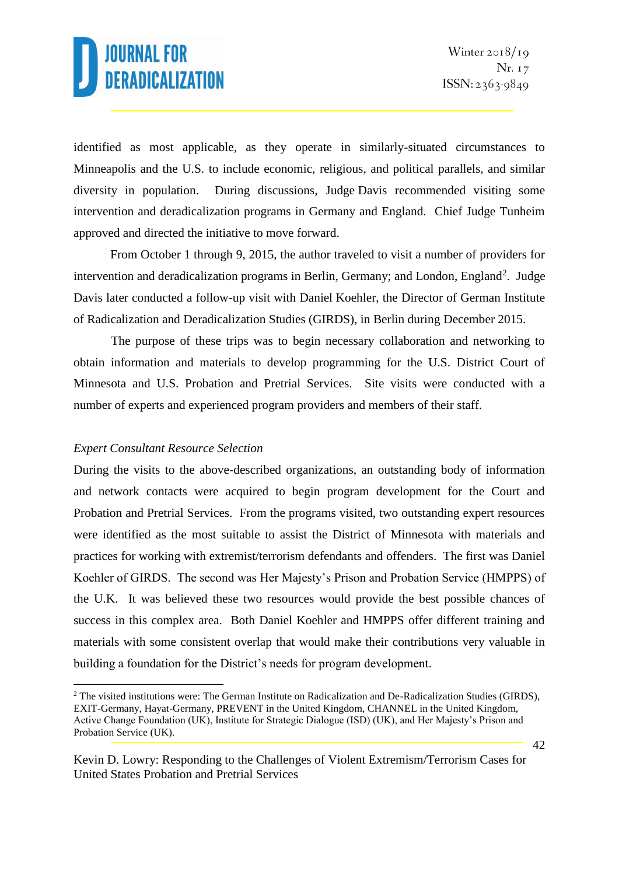identified as most applicable, as they operate in similarly-situated circumstances to Minneapolis and the U.S. to include economic, religious, and political parallels, and similar diversity in population. During discussions, Judge Davis recommended visiting some intervention and deradicalization programs in Germany and England. Chief Judge Tunheim approved and directed the initiative to move forward.

From October 1 through 9, 2015, the author traveled to visit a number of providers for intervention and deradicalization programs in Berlin, Germany; and London, England<sup>2</sup>. Judge Davis later conducted a follow-up visit with Daniel Koehler, the Director of German Institute of Radicalization and Deradicalization Studies (GIRDS), in Berlin during December 2015.

The purpose of these trips was to begin necessary collaboration and networking to obtain information and materials to develop programming for the U.S. District Court of Minnesota and U.S. Probation and Pretrial Services. Site visits were conducted with a number of experts and experienced program providers and members of their staff.

#### *Expert Consultant Resource Selection*

1

During the visits to the above-described organizations, an outstanding body of information and network contacts were acquired to begin program development for the Court and Probation and Pretrial Services. From the programs visited, two outstanding expert resources were identified as the most suitable to assist the District of Minnesota with materials and practices for working with extremist/terrorism defendants and offenders. The first was Daniel Koehler of GIRDS. The second was Her Majesty's Prison and Probation Service (HMPPS) of the U.K. It was believed these two resources would provide the best possible chances of success in this complex area. Both Daniel Koehler and HMPPS offer different training and materials with some consistent overlap that would make their contributions very valuable in building a foundation for the District's needs for program development.

<sup>&</sup>lt;sup>2</sup> The visited institutions were: The German Institute on Radicalization and De-Radicalization Studies (GIRDS), EXIT-Germany, Hayat-Germany, PREVENT in the United Kingdom, CHANNEL in the United Kingdom, Active Change Foundation (UK), Institute for Strategic Dialogue (ISD) (UK), and Her Majesty's Prison and Probation Service (UK).

Kevin D. Lowry: Responding to the Challenges of Violent Extremism/Terrorism Cases for United States Probation and Pretrial Services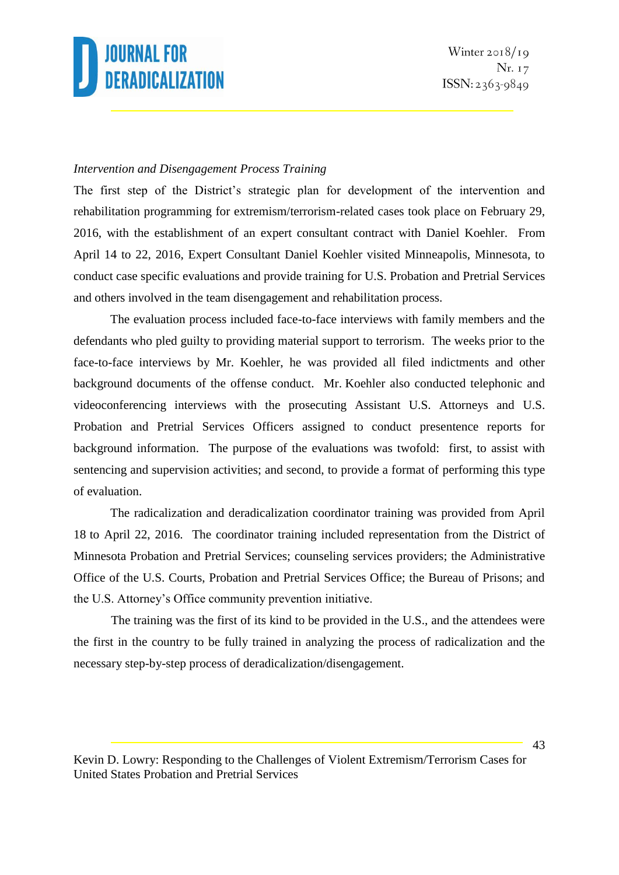#### *Intervention and Disengagement Process Training*

The first step of the District's strategic plan for development of the intervention and rehabilitation programming for extremism/terrorism-related cases took place on February 29, 2016, with the establishment of an expert consultant contract with Daniel Koehler. From April 14 to 22, 2016, Expert Consultant Daniel Koehler visited Minneapolis, Minnesota, to conduct case specific evaluations and provide training for U.S. Probation and Pretrial Services and others involved in the team disengagement and rehabilitation process.

The evaluation process included face-to-face interviews with family members and the defendants who pled guilty to providing material support to terrorism. The weeks prior to the face-to-face interviews by Mr. Koehler, he was provided all filed indictments and other background documents of the offense conduct. Mr. Koehler also conducted telephonic and videoconferencing interviews with the prosecuting Assistant U.S. Attorneys and U.S. Probation and Pretrial Services Officers assigned to conduct presentence reports for background information. The purpose of the evaluations was twofold: first, to assist with sentencing and supervision activities; and second, to provide a format of performing this type of evaluation.

The radicalization and deradicalization coordinator training was provided from April 18 to April 22, 2016. The coordinator training included representation from the District of Minnesota Probation and Pretrial Services; counseling services providers; the Administrative Office of the U.S. Courts, Probation and Pretrial Services Office; the Bureau of Prisons; and the U.S. Attorney's Office community prevention initiative.

The training was the first of its kind to be provided in the U.S., and the attendees were the first in the country to be fully trained in analyzing the process of radicalization and the necessary step-by-step process of deradicalization/disengagement.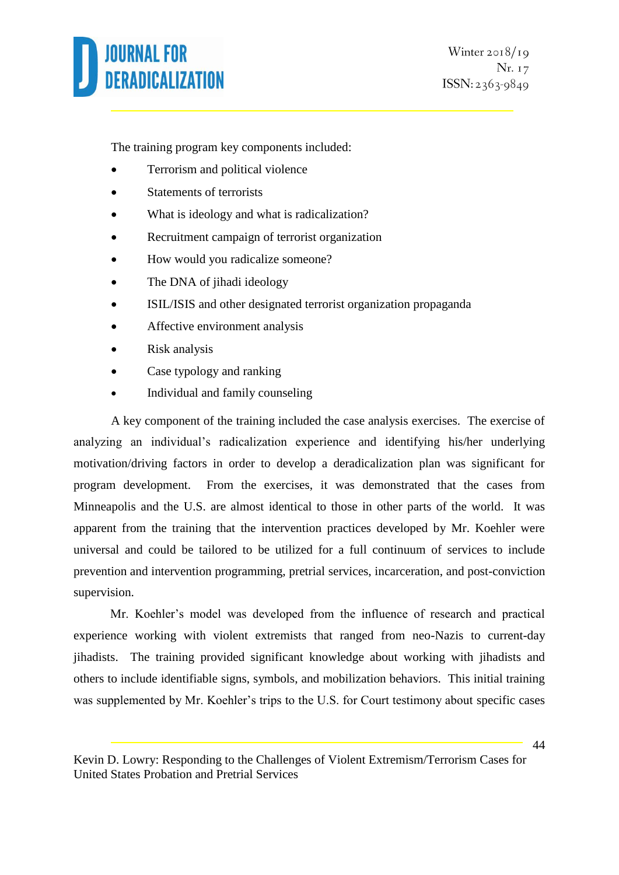The training program key components included:

- Terrorism and political violence
- Statements of terrorists
- What is ideology and what is radicalization?
- Recruitment campaign of terrorist organization
- How would you radicalize someone?
- The DNA of jihadi ideology
- ISIL/ISIS and other designated terrorist organization propaganda
- Affective environment analysis
- Risk analysis
- Case typology and ranking
- Individual and family counseling

A key component of the training included the case analysis exercises. The exercise of analyzing an individual's radicalization experience and identifying his/her underlying motivation/driving factors in order to develop a deradicalization plan was significant for program development. From the exercises, it was demonstrated that the cases from Minneapolis and the U.S. are almost identical to those in other parts of the world. It was apparent from the training that the intervention practices developed by Mr. Koehler were universal and could be tailored to be utilized for a full continuum of services to include prevention and intervention programming, pretrial services, incarceration, and post-conviction supervision.

Mr. Koehler's model was developed from the influence of research and practical experience working with violent extremists that ranged from neo-Nazis to current-day jihadists. The training provided significant knowledge about working with jihadists and others to include identifiable signs, symbols, and mobilization behaviors. This initial training was supplemented by Mr. Koehler's trips to the U.S. for Court testimony about specific cases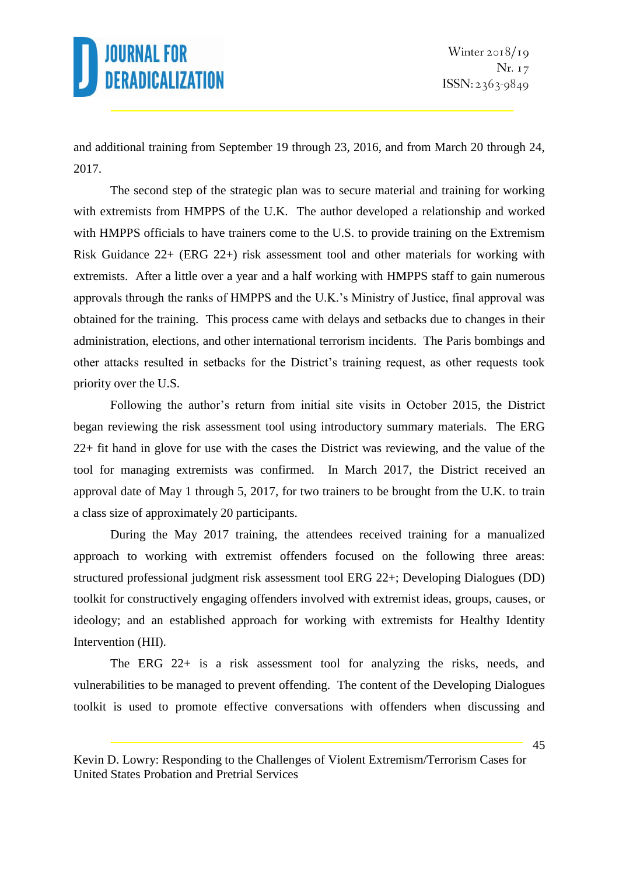and additional training from September 19 through 23, 2016, and from March 20 through 24, 2017.

The second step of the strategic plan was to secure material and training for working with extremists from HMPPS of the U.K. The author developed a relationship and worked with HMPPS officials to have trainers come to the U.S. to provide training on the Extremism Risk Guidance 22+ (ERG 22+) risk assessment tool and other materials for working with extremists. After a little over a year and a half working with HMPPS staff to gain numerous approvals through the ranks of HMPPS and the U.K.'s Ministry of Justice, final approval was obtained for the training. This process came with delays and setbacks due to changes in their administration, elections, and other international terrorism incidents. The Paris bombings and other attacks resulted in setbacks for the District's training request, as other requests took priority over the U.S.

Following the author's return from initial site visits in October 2015, the District began reviewing the risk assessment tool using introductory summary materials. The ERG 22+ fit hand in glove for use with the cases the District was reviewing, and the value of the tool for managing extremists was confirmed. In March 2017, the District received an approval date of May 1 through 5, 2017, for two trainers to be brought from the U.K. to train a class size of approximately 20 participants.

During the May 2017 training, the attendees received training for a manualized approach to working with extremist offenders focused on the following three areas: structured professional judgment risk assessment tool ERG 22+; Developing Dialogues (DD) toolkit for constructively engaging offenders involved with extremist ideas, groups, causes, or ideology; and an established approach for working with extremists for Healthy Identity Intervention (HII).

The ERG 22+ is a risk assessment tool for analyzing the risks, needs, and vulnerabilities to be managed to prevent offending. The content of the Developing Dialogues toolkit is used to promote effective conversations with offenders when discussing and

Kevin D. Lowry: Responding to the Challenges of Violent Extremism/Terrorism Cases for United States Probation and Pretrial Services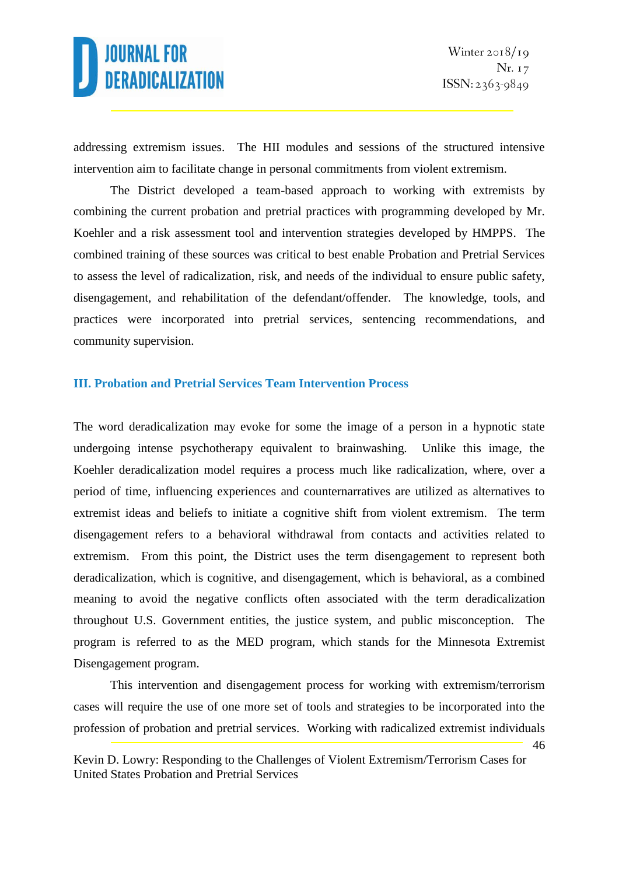addressing extremism issues. The HII modules and sessions of the structured intensive intervention aim to facilitate change in personal commitments from violent extremism.

The District developed a team-based approach to working with extremists by combining the current probation and pretrial practices with programming developed by Mr. Koehler and a risk assessment tool and intervention strategies developed by HMPPS. The combined training of these sources was critical to best enable Probation and Pretrial Services to assess the level of radicalization, risk, and needs of the individual to ensure public safety, disengagement, and rehabilitation of the defendant/offender. The knowledge, tools, and practices were incorporated into pretrial services, sentencing recommendations, and community supervision.

#### **III. Probation and Pretrial Services Team Intervention Process**

The word deradicalization may evoke for some the image of a person in a hypnotic state undergoing intense psychotherapy equivalent to brainwashing. Unlike this image, the Koehler deradicalization model requires a process much like radicalization, where, over a period of time, influencing experiences and counternarratives are utilized as alternatives to extremist ideas and beliefs to initiate a cognitive shift from violent extremism. The term disengagement refers to a behavioral withdrawal from contacts and activities related to extremism. From this point, the District uses the term disengagement to represent both deradicalization, which is cognitive, and disengagement, which is behavioral, as a combined meaning to avoid the negative conflicts often associated with the term deradicalization throughout U.S. Government entities, the justice system, and public misconception. The program is referred to as the MED program, which stands for the Minnesota Extremist Disengagement program.

This intervention and disengagement process for working with extremism/terrorism cases will require the use of one more set of tools and strategies to be incorporated into the profession of probation and pretrial services. Working with radicalized extremist individuals

<sup>46</sup>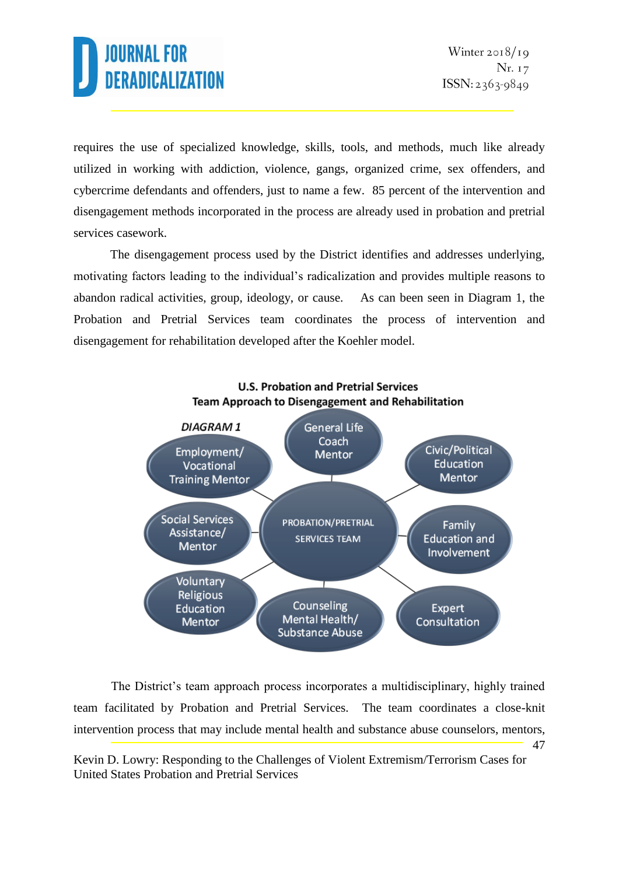requires the use of specialized knowledge, skills, tools, and methods, much like already utilized in working with addiction, violence, gangs, organized crime, sex offenders, and cybercrime defendants and offenders, just to name a few. 85 percent of the intervention and disengagement methods incorporated in the process are already used in probation and pretrial services casework.

The disengagement process used by the District identifies and addresses underlying, motivating factors leading to the individual's radicalization and provides multiple reasons to abandon radical activities, group, ideology, or cause. As can been seen in Diagram 1, the Probation and Pretrial Services team coordinates the process of intervention and disengagement for rehabilitation developed after the Koehler model.



47 The District's team approach process incorporates a multidisciplinary, highly trained team facilitated by Probation and Pretrial Services. The team coordinates a close-knit intervention process that may include mental health and substance abuse counselors, mentors,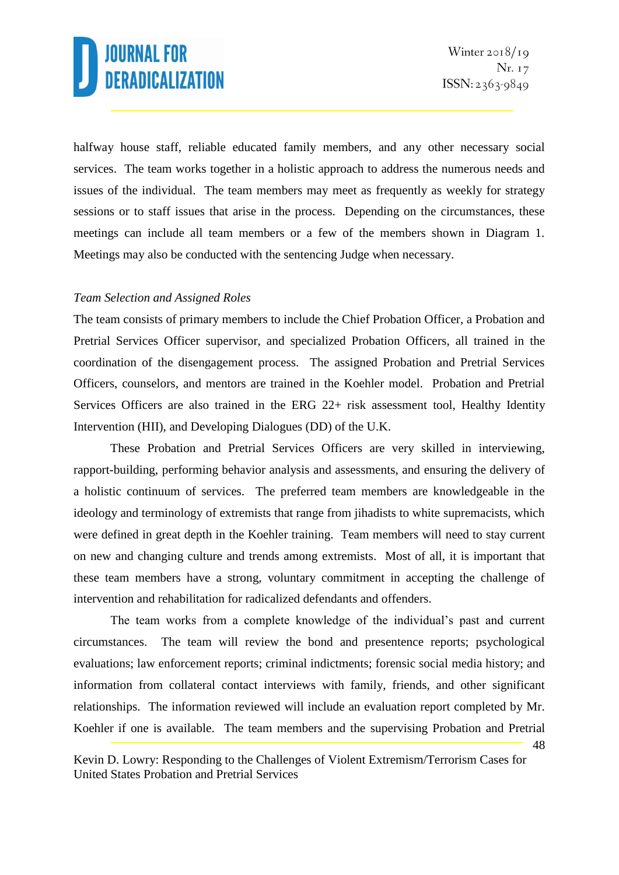48

halfway house staff, reliable educated family members, and any other necessary social services. The team works together in a holistic approach to address the numerous needs and issues of the individual. The team members may meet as frequently as weekly for strategy sessions or to staff issues that arise in the process. Depending on the circumstances, these meetings can include all team members or a few of the members shown in Diagram 1. Meetings may also be conducted with the sentencing Judge when necessary.

#### *Team Selection and Assigned Roles*

The team consists of primary members to include the Chief Probation Officer, a Probation and Pretrial Services Officer supervisor, and specialized Probation Officers, all trained in the coordination of the disengagement process. The assigned Probation and Pretrial Services Officers, counselors, and mentors are trained in the Koehler model. Probation and Pretrial Services Officers are also trained in the ERG 22+ risk assessment tool, Healthy Identity Intervention (HII), and Developing Dialogues (DD) of the U.K.

These Probation and Pretrial Services Officers are very skilled in interviewing, rapport-building, performing behavior analysis and assessments, and ensuring the delivery of a holistic continuum of services. The preferred team members are knowledgeable in the ideology and terminology of extremists that range from jihadists to white supremacists, which were defined in great depth in the Koehler training. Team members will need to stay current on new and changing culture and trends among extremists. Most of all, it is important that these team members have a strong, voluntary commitment in accepting the challenge of intervention and rehabilitation for radicalized defendants and offenders.

The team works from a complete knowledge of the individual's past and current circumstances. The team will review the bond and presentence reports; psychological evaluations; law enforcement reports; criminal indictments; forensic social media history; and information from collateral contact interviews with family, friends, and other significant relationships. The information reviewed will include an evaluation report completed by Mr. Koehler if one is available. The team members and the supervising Probation and Pretrial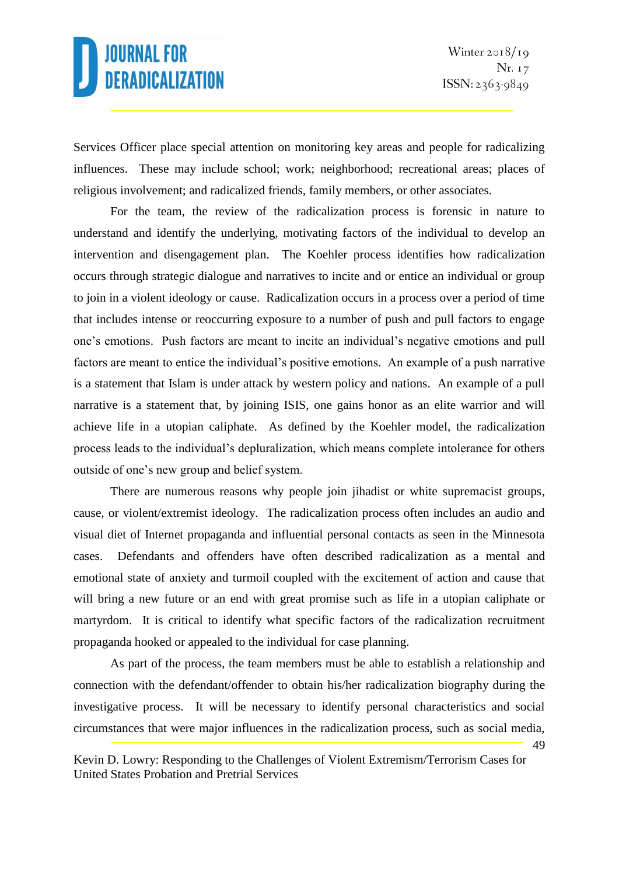49

Services Officer place special attention on monitoring key areas and people for radicalizing influences. These may include school; work; neighborhood; recreational areas; places of religious involvement; and radicalized friends, family members, or other associates.

For the team, the review of the radicalization process is forensic in nature to understand and identify the underlying, motivating factors of the individual to develop an intervention and disengagement plan. The Koehler process identifies how radicalization occurs through strategic dialogue and narratives to incite and or entice an individual or group to join in a violent ideology or cause. Radicalization occurs in a process over a period of time that includes intense or reoccurring exposure to a number of push and pull factors to engage one's emotions. Push factors are meant to incite an individual's negative emotions and pull factors are meant to entice the individual's positive emotions. An example of a push narrative is a statement that Islam is under attack by western policy and nations. An example of a pull narrative is a statement that, by joining ISIS, one gains honor as an elite warrior and will achieve life in a utopian caliphate. As defined by the Koehler model, the radicalization process leads to the individual's depluralization, which means complete intolerance for others outside of one's new group and belief system.

There are numerous reasons why people join jihadist or white supremacist groups, cause, or violent/extremist ideology. The radicalization process often includes an audio and visual diet of Internet propaganda and influential personal contacts as seen in the Minnesota cases. Defendants and offenders have often described radicalization as a mental and emotional state of anxiety and turmoil coupled with the excitement of action and cause that will bring a new future or an end with great promise such as life in a utopian caliphate or martyrdom. It is critical to identify what specific factors of the radicalization recruitment propaganda hooked or appealed to the individual for case planning.

As part of the process, the team members must be able to establish a relationship and connection with the defendant/offender to obtain his/her radicalization biography during the investigative process. It will be necessary to identify personal characteristics and social circumstances that were major influences in the radicalization process, such as social media,

Kevin D. Lowry: Responding to the Challenges of Violent Extremism/Terrorism Cases for United States Probation and Pretrial Services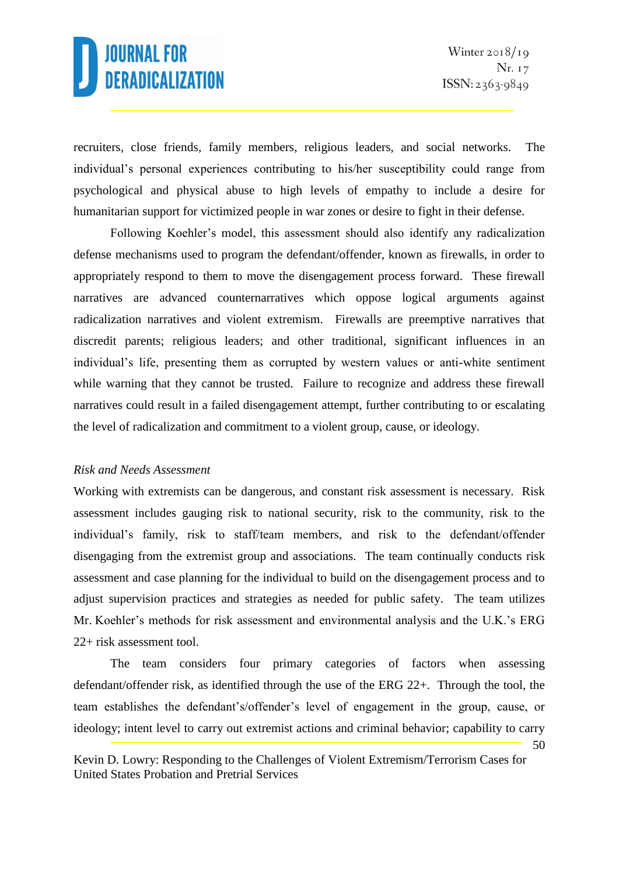recruiters, close friends, family members, religious leaders, and social networks. The individual's personal experiences contributing to his/her susceptibility could range from psychological and physical abuse to high levels of empathy to include a desire for humanitarian support for victimized people in war zones or desire to fight in their defense.

Following Koehler's model, this assessment should also identify any radicalization defense mechanisms used to program the defendant/offender, known as firewalls, in order to appropriately respond to them to move the disengagement process forward. These firewall narratives are advanced counternarratives which oppose logical arguments against radicalization narratives and violent extremism. Firewalls are preemptive narratives that discredit parents; religious leaders; and other traditional, significant influences in an individual's life, presenting them as corrupted by western values or anti-white sentiment while warning that they cannot be trusted. Failure to recognize and address these firewall narratives could result in a failed disengagement attempt, further contributing to or escalating the level of radicalization and commitment to a violent group, cause, or ideology.

#### *Risk and Needs Assessment*

Working with extremists can be dangerous, and constant risk assessment is necessary. Risk assessment includes gauging risk to national security, risk to the community, risk to the individual's family, risk to staff/team members, and risk to the defendant/offender disengaging from the extremist group and associations. The team continually conducts risk assessment and case planning for the individual to build on the disengagement process and to adjust supervision practices and strategies as needed for public safety. The team utilizes Mr. Koehler's methods for risk assessment and environmental analysis and the U.K.'s ERG 22+ risk assessment tool.

The team considers four primary categories of factors when assessing defendant/offender risk, as identified through the use of the ERG 22+. Through the tool, the team establishes the defendant's/offender's level of engagement in the group, cause, or ideology; intent level to carry out extremist actions and criminal behavior; capability to carry

<sup>50</sup>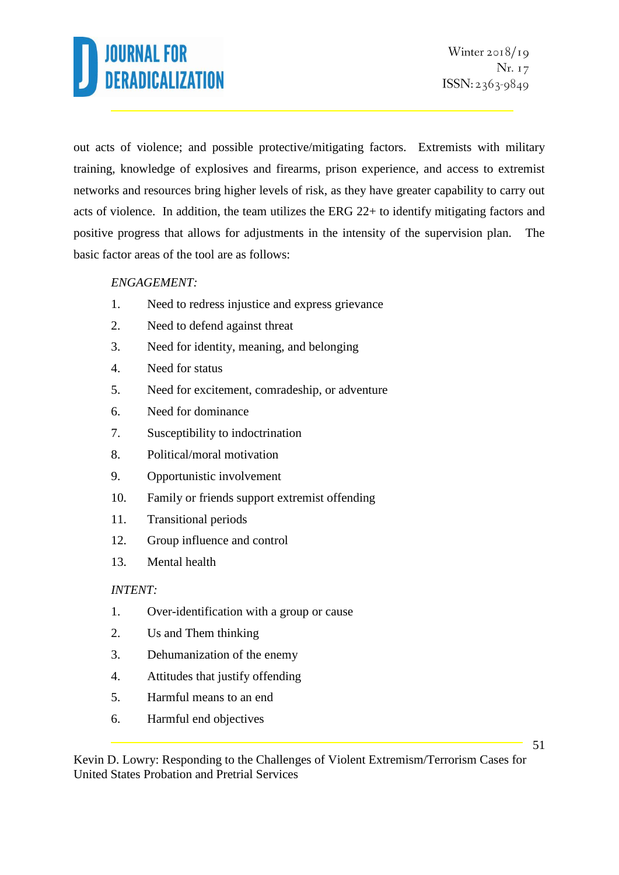out acts of violence; and possible protective/mitigating factors. Extremists with military training, knowledge of explosives and firearms, prison experience, and access to extremist networks and resources bring higher levels of risk, as they have greater capability to carry out acts of violence. In addition, the team utilizes the ERG 22+ to identify mitigating factors and positive progress that allows for adjustments in the intensity of the supervision plan. The basic factor areas of the tool are as follows:

### *ENGAGEMENT:*

- 1. Need to redress injustice and express grievance
- 2. Need to defend against threat
- 3. Need for identity, meaning, and belonging
- 4. Need for status
- 5. Need for excitement, comradeship, or adventure
- 6. Need for dominance
- 7. Susceptibility to indoctrination
- 8. Political/moral motivation
- 9. Opportunistic involvement
- 10. Family or friends support extremist offending
- 11. Transitional periods
- 12. Group influence and control
- 13. Mental health

#### *INTENT:*

- 1. Over-identification with a group or cause
- 2. Us and Them thinking
- 3. Dehumanization of the enemy
- 4. Attitudes that justify offending
- 5. Harmful means to an end
- 6. Harmful end objectives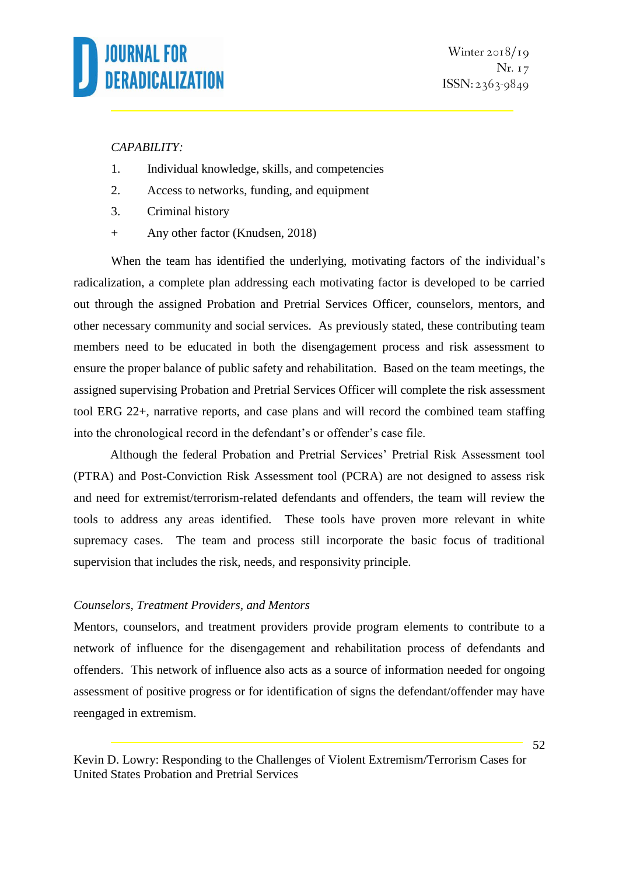#### *CAPABILITY:*

- 1. Individual knowledge, skills, and competencies
- 2. Access to networks, funding, and equipment
- 3. Criminal history
- + Any other factor (Knudsen, 2018)

When the team has identified the underlying, motivating factors of the individual's radicalization, a complete plan addressing each motivating factor is developed to be carried out through the assigned Probation and Pretrial Services Officer, counselors, mentors, and other necessary community and social services. As previously stated, these contributing team members need to be educated in both the disengagement process and risk assessment to ensure the proper balance of public safety and rehabilitation. Based on the team meetings, the assigned supervising Probation and Pretrial Services Officer will complete the risk assessment tool ERG 22+, narrative reports, and case plans and will record the combined team staffing into the chronological record in the defendant's or offender's case file.

Although the federal Probation and Pretrial Services' Pretrial Risk Assessment tool (PTRA) and Post-Conviction Risk Assessment tool (PCRA) are not designed to assess risk and need for extremist/terrorism-related defendants and offenders, the team will review the tools to address any areas identified. These tools have proven more relevant in white supremacy cases. The team and process still incorporate the basic focus of traditional supervision that includes the risk, needs, and responsivity principle.

### *Counselors, Treatment Providers, and Mentors*

Mentors, counselors, and treatment providers provide program elements to contribute to a network of influence for the disengagement and rehabilitation process of defendants and offenders. This network of influence also acts as a source of information needed for ongoing assessment of positive progress or for identification of signs the defendant/offender may have reengaged in extremism.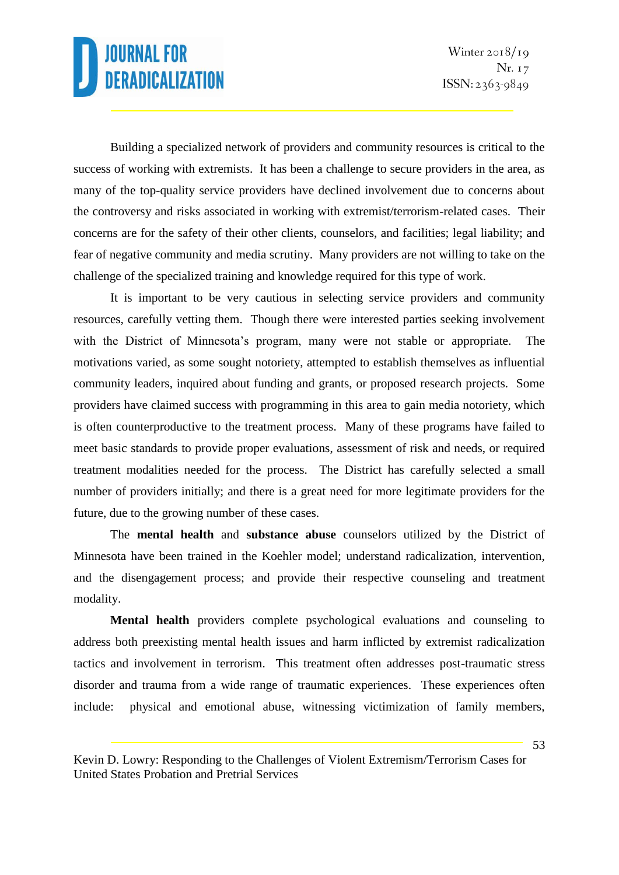Building a specialized network of providers and community resources is critical to the success of working with extremists. It has been a challenge to secure providers in the area, as many of the top-quality service providers have declined involvement due to concerns about the controversy and risks associated in working with extremist/terrorism-related cases. Their concerns are for the safety of their other clients, counselors, and facilities; legal liability; and fear of negative community and media scrutiny. Many providers are not willing to take on the challenge of the specialized training and knowledge required for this type of work.

It is important to be very cautious in selecting service providers and community resources, carefully vetting them. Though there were interested parties seeking involvement with the District of Minnesota's program, many were not stable or appropriate. The motivations varied, as some sought notoriety, attempted to establish themselves as influential community leaders, inquired about funding and grants, or proposed research projects. Some providers have claimed success with programming in this area to gain media notoriety, which is often counterproductive to the treatment process. Many of these programs have failed to meet basic standards to provide proper evaluations, assessment of risk and needs, or required treatment modalities needed for the process. The District has carefully selected a small number of providers initially; and there is a great need for more legitimate providers for the future, due to the growing number of these cases.

The **mental health** and **substance abuse** counselors utilized by the District of Minnesota have been trained in the Koehler model; understand radicalization, intervention, and the disengagement process; and provide their respective counseling and treatment modality.

**Mental health** providers complete psychological evaluations and counseling to address both preexisting mental health issues and harm inflicted by extremist radicalization tactics and involvement in terrorism. This treatment often addresses post-traumatic stress disorder and trauma from a wide range of traumatic experiences. These experiences often include: physical and emotional abuse, witnessing victimization of family members,

Kevin D. Lowry: Responding to the Challenges of Violent Extremism/Terrorism Cases for United States Probation and Pretrial Services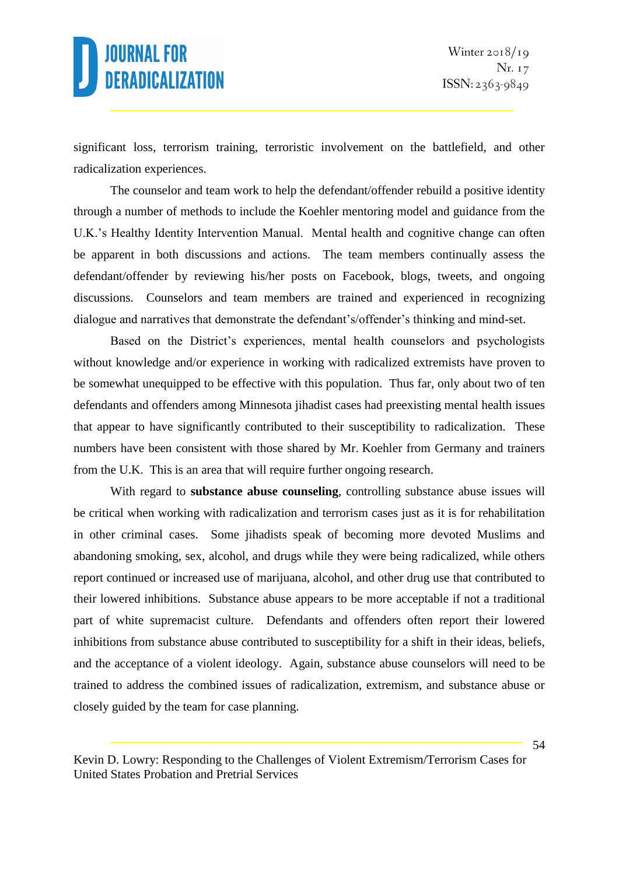significant loss, terrorism training, terroristic involvement on the battlefield, and other radicalization experiences.

The counselor and team work to help the defendant/offender rebuild a positive identity through a number of methods to include the Koehler mentoring model and guidance from the U.K.'s Healthy Identity Intervention Manual. Mental health and cognitive change can often be apparent in both discussions and actions. The team members continually assess the defendant/offender by reviewing his/her posts on Facebook, blogs, tweets, and ongoing discussions. Counselors and team members are trained and experienced in recognizing dialogue and narratives that demonstrate the defendant's/offender's thinking and mind-set.

Based on the District's experiences, mental health counselors and psychologists without knowledge and/or experience in working with radicalized extremists have proven to be somewhat unequipped to be effective with this population. Thus far, only about two of ten defendants and offenders among Minnesota jihadist cases had preexisting mental health issues that appear to have significantly contributed to their susceptibility to radicalization. These numbers have been consistent with those shared by Mr. Koehler from Germany and trainers from the U.K. This is an area that will require further ongoing research.

With regard to **substance abuse counseling**, controlling substance abuse issues will be critical when working with radicalization and terrorism cases just as it is for rehabilitation in other criminal cases. Some jihadists speak of becoming more devoted Muslims and abandoning smoking, sex, alcohol, and drugs while they were being radicalized, while others report continued or increased use of marijuana, alcohol, and other drug use that contributed to their lowered inhibitions. Substance abuse appears to be more acceptable if not a traditional part of white supremacist culture. Defendants and offenders often report their lowered inhibitions from substance abuse contributed to susceptibility for a shift in their ideas, beliefs, and the acceptance of a violent ideology. Again, substance abuse counselors will need to be trained to address the combined issues of radicalization, extremism, and substance abuse or closely guided by the team for case planning.

Kevin D. Lowry: Responding to the Challenges of Violent Extremism/Terrorism Cases for United States Probation and Pretrial Services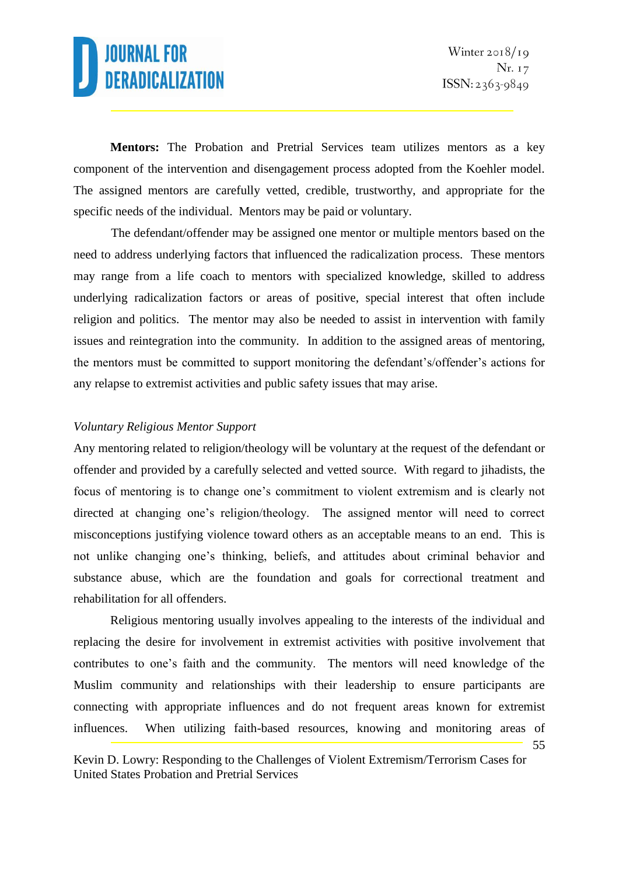55

**Mentors:** The Probation and Pretrial Services team utilizes mentors as a key component of the intervention and disengagement process adopted from the Koehler model. The assigned mentors are carefully vetted, credible, trustworthy, and appropriate for the specific needs of the individual. Mentors may be paid or voluntary.

The defendant/offender may be assigned one mentor or multiple mentors based on the need to address underlying factors that influenced the radicalization process. These mentors may range from a life coach to mentors with specialized knowledge, skilled to address underlying radicalization factors or areas of positive, special interest that often include religion and politics. The mentor may also be needed to assist in intervention with family issues and reintegration into the community. In addition to the assigned areas of mentoring, the mentors must be committed to support monitoring the defendant's/offender's actions for any relapse to extremist activities and public safety issues that may arise.

#### *Voluntary Religious Mentor Support*

Any mentoring related to religion/theology will be voluntary at the request of the defendant or offender and provided by a carefully selected and vetted source. With regard to jihadists, the focus of mentoring is to change one's commitment to violent extremism and is clearly not directed at changing one's religion/theology. The assigned mentor will need to correct misconceptions justifying violence toward others as an acceptable means to an end. This is not unlike changing one's thinking, beliefs, and attitudes about criminal behavior and substance abuse, which are the foundation and goals for correctional treatment and rehabilitation for all offenders.

Religious mentoring usually involves appealing to the interests of the individual and replacing the desire for involvement in extremist activities with positive involvement that contributes to one's faith and the community. The mentors will need knowledge of the Muslim community and relationships with their leadership to ensure participants are connecting with appropriate influences and do not frequent areas known for extremist influences. When utilizing faith-based resources, knowing and monitoring areas of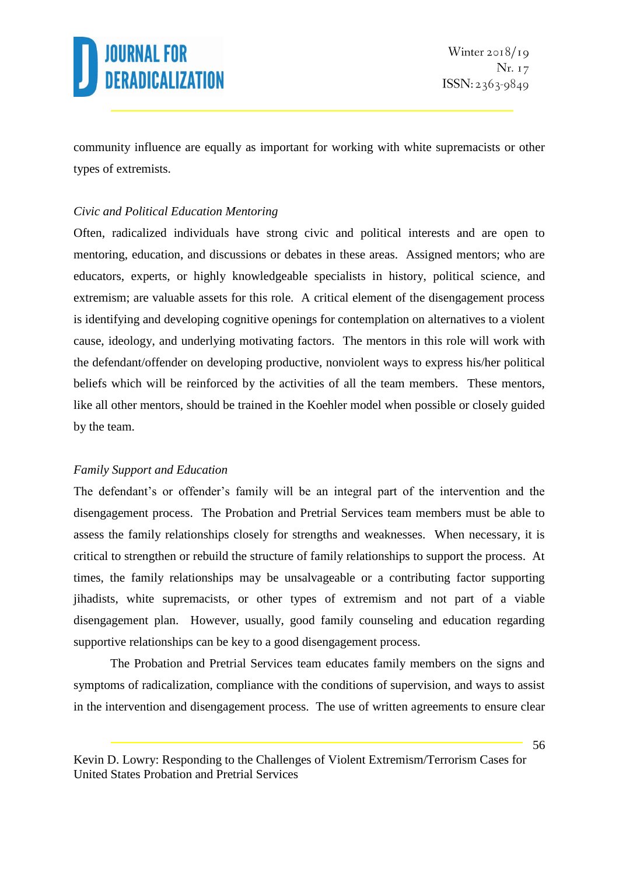

community influence are equally as important for working with white supremacists or other types of extremists.

#### *Civic and Political Education Mentoring*

Often, radicalized individuals have strong civic and political interests and are open to mentoring, education, and discussions or debates in these areas. Assigned mentors; who are educators, experts, or highly knowledgeable specialists in history, political science, and extremism; are valuable assets for this role. A critical element of the disengagement process is identifying and developing cognitive openings for contemplation on alternatives to a violent cause, ideology, and underlying motivating factors. The mentors in this role will work with the defendant/offender on developing productive, nonviolent ways to express his/her political beliefs which will be reinforced by the activities of all the team members. These mentors, like all other mentors, should be trained in the Koehler model when possible or closely guided by the team.

#### *Family Support and Education*

The defendant's or offender's family will be an integral part of the intervention and the disengagement process. The Probation and Pretrial Services team members must be able to assess the family relationships closely for strengths and weaknesses. When necessary, it is critical to strengthen or rebuild the structure of family relationships to support the process. At times, the family relationships may be unsalvageable or a contributing factor supporting jihadists, white supremacists, or other types of extremism and not part of a viable disengagement plan. However, usually, good family counseling and education regarding supportive relationships can be key to a good disengagement process.

The Probation and Pretrial Services team educates family members on the signs and symptoms of radicalization, compliance with the conditions of supervision, and ways to assist in the intervention and disengagement process. The use of written agreements to ensure clear

Kevin D. Lowry: Responding to the Challenges of Violent Extremism/Terrorism Cases for United States Probation and Pretrial Services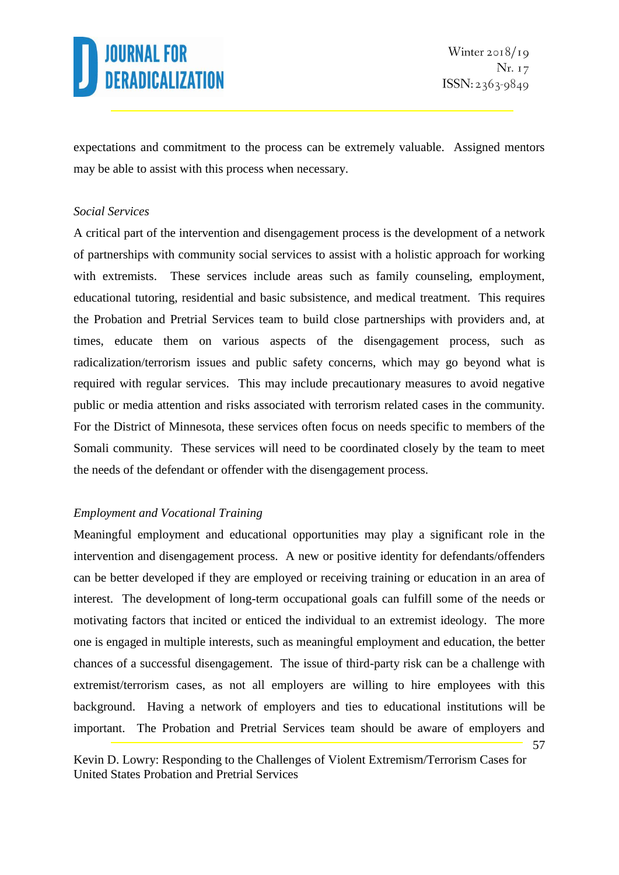57

expectations and commitment to the process can be extremely valuable. Assigned mentors may be able to assist with this process when necessary.

#### *Social Services*

A critical part of the intervention and disengagement process is the development of a network of partnerships with community social services to assist with a holistic approach for working with extremists. These services include areas such as family counseling, employment, educational tutoring, residential and basic subsistence, and medical treatment. This requires the Probation and Pretrial Services team to build close partnerships with providers and, at times, educate them on various aspects of the disengagement process, such as radicalization/terrorism issues and public safety concerns, which may go beyond what is required with regular services. This may include precautionary measures to avoid negative public or media attention and risks associated with terrorism related cases in the community. For the District of Minnesota, these services often focus on needs specific to members of the Somali community. These services will need to be coordinated closely by the team to meet the needs of the defendant or offender with the disengagement process.

#### *Employment and Vocational Training*

Meaningful employment and educational opportunities may play a significant role in the intervention and disengagement process. A new or positive identity for defendants/offenders can be better developed if they are employed or receiving training or education in an area of interest. The development of long-term occupational goals can fulfill some of the needs or motivating factors that incited or enticed the individual to an extremist ideology. The more one is engaged in multiple interests, such as meaningful employment and education, the better chances of a successful disengagement. The issue of third-party risk can be a challenge with extremist/terrorism cases, as not all employers are willing to hire employees with this background. Having a network of employers and ties to educational institutions will be important. The Probation and Pretrial Services team should be aware of employers and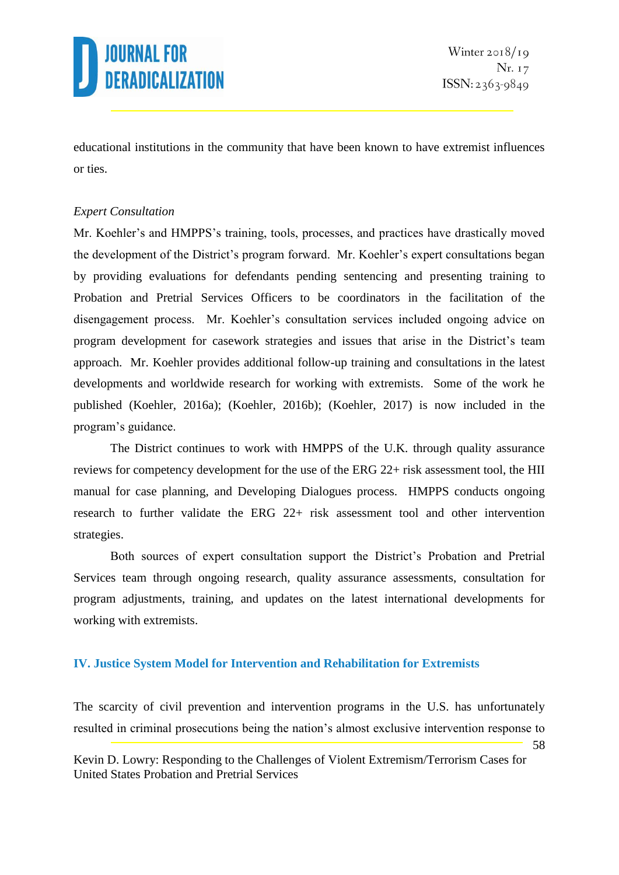

58

educational institutions in the community that have been known to have extremist influences or ties.

#### *Expert Consultation*

Mr. Koehler's and HMPPS's training, tools, processes, and practices have drastically moved the development of the District's program forward. Mr. Koehler's expert consultations began by providing evaluations for defendants pending sentencing and presenting training to Probation and Pretrial Services Officers to be coordinators in the facilitation of the disengagement process. Mr. Koehler's consultation services included ongoing advice on program development for casework strategies and issues that arise in the District's team approach. Mr. Koehler provides additional follow-up training and consultations in the latest developments and worldwide research for working with extremists. Some of the work he published (Koehler, 2016a); (Koehler, 2016b); (Koehler, 2017) is now included in the program's guidance.

The District continues to work with HMPPS of the U.K. through quality assurance reviews for competency development for the use of the ERG 22+ risk assessment tool, the HII manual for case planning, and Developing Dialogues process. HMPPS conducts ongoing research to further validate the ERG 22+ risk assessment tool and other intervention strategies.

Both sources of expert consultation support the District's Probation and Pretrial Services team through ongoing research, quality assurance assessments, consultation for program adjustments, training, and updates on the latest international developments for working with extremists.

#### **IV. Justice System Model for Intervention and Rehabilitation for Extremists**

The scarcity of civil prevention and intervention programs in the U.S. has unfortunately resulted in criminal prosecutions being the nation's almost exclusive intervention response to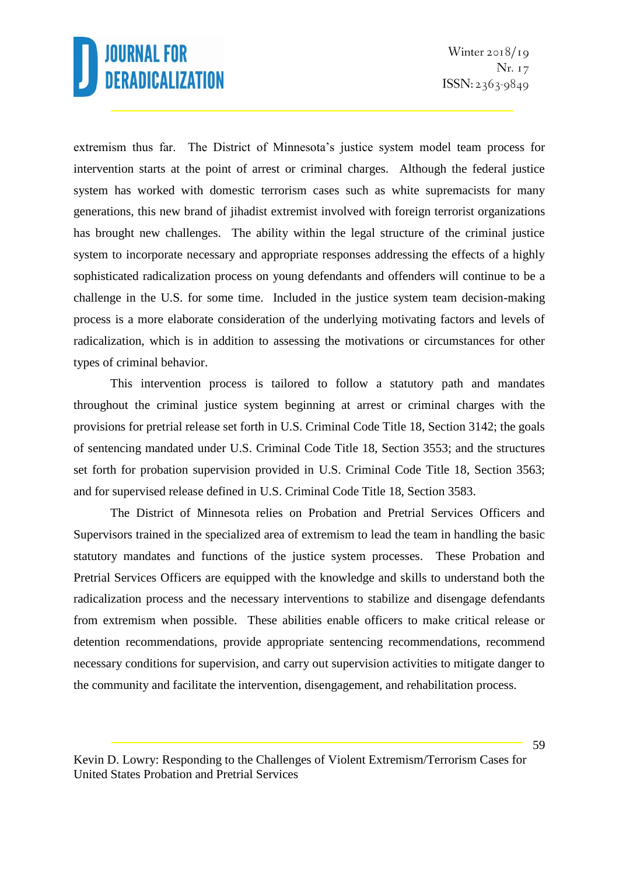extremism thus far. The District of Minnesota's justice system model team process for intervention starts at the point of arrest or criminal charges. Although the federal justice system has worked with domestic terrorism cases such as white supremacists for many generations, this new brand of jihadist extremist involved with foreign terrorist organizations has brought new challenges. The ability within the legal structure of the criminal justice system to incorporate necessary and appropriate responses addressing the effects of a highly sophisticated radicalization process on young defendants and offenders will continue to be a challenge in the U.S. for some time. Included in the justice system team decision-making process is a more elaborate consideration of the underlying motivating factors and levels of radicalization, which is in addition to assessing the motivations or circumstances for other types of criminal behavior.

This intervention process is tailored to follow a statutory path and mandates throughout the criminal justice system beginning at arrest or criminal charges with the provisions for pretrial release set forth in U.S. Criminal Code Title 18, Section 3142; the goals of sentencing mandated under U.S. Criminal Code Title 18, Section 3553; and the structures set forth for probation supervision provided in U.S. Criminal Code Title 18, Section 3563; and for supervised release defined in U.S. Criminal Code Title 18, Section 3583.

The District of Minnesota relies on Probation and Pretrial Services Officers and Supervisors trained in the specialized area of extremism to lead the team in handling the basic statutory mandates and functions of the justice system processes. These Probation and Pretrial Services Officers are equipped with the knowledge and skills to understand both the radicalization process and the necessary interventions to stabilize and disengage defendants from extremism when possible. These abilities enable officers to make critical release or detention recommendations, provide appropriate sentencing recommendations, recommend necessary conditions for supervision, and carry out supervision activities to mitigate danger to the community and facilitate the intervention, disengagement, and rehabilitation process.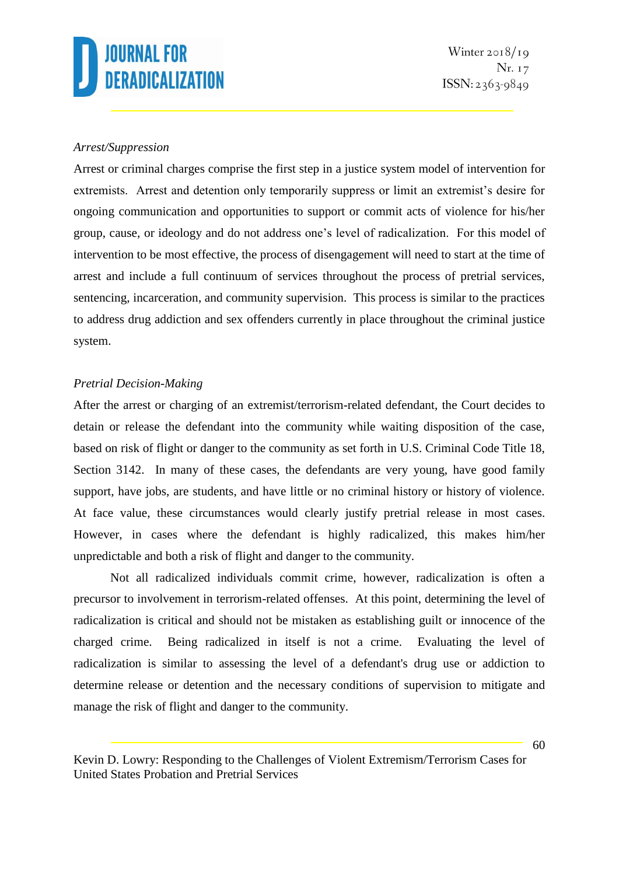#### *Arrest/Suppression*

Arrest or criminal charges comprise the first step in a justice system model of intervention for extremists. Arrest and detention only temporarily suppress or limit an extremist's desire for ongoing communication and opportunities to support or commit acts of violence for his/her group, cause, or ideology and do not address one's level of radicalization. For this model of intervention to be most effective, the process of disengagement will need to start at the time of arrest and include a full continuum of services throughout the process of pretrial services, sentencing, incarceration, and community supervision. This process is similar to the practices to address drug addiction and sex offenders currently in place throughout the criminal justice system.

#### *Pretrial Decision-Making*

After the arrest or charging of an extremist/terrorism-related defendant, the Court decides to detain or release the defendant into the community while waiting disposition of the case, based on risk of flight or danger to the community as set forth in U.S. Criminal Code Title 18, Section 3142. In many of these cases, the defendants are very young, have good family support, have jobs, are students, and have little or no criminal history or history of violence. At face value, these circumstances would clearly justify pretrial release in most cases. However, in cases where the defendant is highly radicalized, this makes him/her unpredictable and both a risk of flight and danger to the community.

Not all radicalized individuals commit crime, however, radicalization is often a precursor to involvement in terrorism-related offenses. At this point, determining the level of radicalization is critical and should not be mistaken as establishing guilt or innocence of the charged crime. Being radicalized in itself is not a crime. Evaluating the level of radicalization is similar to assessing the level of a defendant's drug use or addiction to determine release or detention and the necessary conditions of supervision to mitigate and manage the risk of flight and danger to the community.

Kevin D. Lowry: Responding to the Challenges of Violent Extremism/Terrorism Cases for United States Probation and Pretrial Services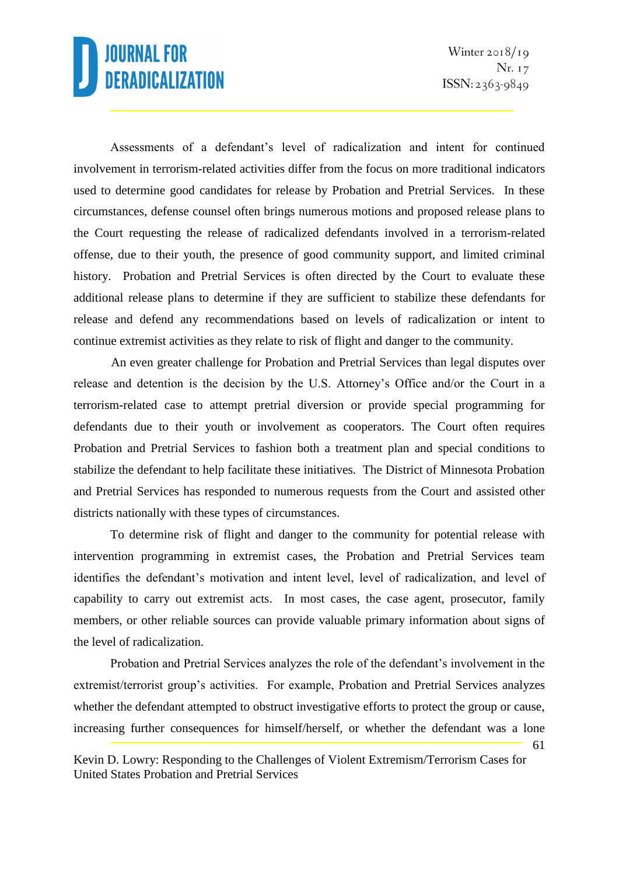Assessments of a defendant's level of radicalization and intent for continued involvement in terrorism-related activities differ from the focus on more traditional indicators used to determine good candidates for release by Probation and Pretrial Services. In these circumstances, defense counsel often brings numerous motions and proposed release plans to the Court requesting the release of radicalized defendants involved in a terrorism-related offense, due to their youth, the presence of good community support, and limited criminal history. Probation and Pretrial Services is often directed by the Court to evaluate these additional release plans to determine if they are sufficient to stabilize these defendants for release and defend any recommendations based on levels of radicalization or intent to continue extremist activities as they relate to risk of flight and danger to the community.

An even greater challenge for Probation and Pretrial Services than legal disputes over release and detention is the decision by the U.S. Attorney's Office and/or the Court in a terrorism-related case to attempt pretrial diversion or provide special programming for defendants due to their youth or involvement as cooperators. The Court often requires Probation and Pretrial Services to fashion both a treatment plan and special conditions to stabilize the defendant to help facilitate these initiatives. The District of Minnesota Probation and Pretrial Services has responded to numerous requests from the Court and assisted other districts nationally with these types of circumstances.

To determine risk of flight and danger to the community for potential release with intervention programming in extremist cases, the Probation and Pretrial Services team identifies the defendant's motivation and intent level, level of radicalization, and level of capability to carry out extremist acts. In most cases, the case agent, prosecutor, family members, or other reliable sources can provide valuable primary information about signs of the level of radicalization.

Probation and Pretrial Services analyzes the role of the defendant's involvement in the extremist/terrorist group's activities. For example, Probation and Pretrial Services analyzes whether the defendant attempted to obstruct investigative efforts to protect the group or cause, increasing further consequences for himself/herself, or whether the defendant was a lone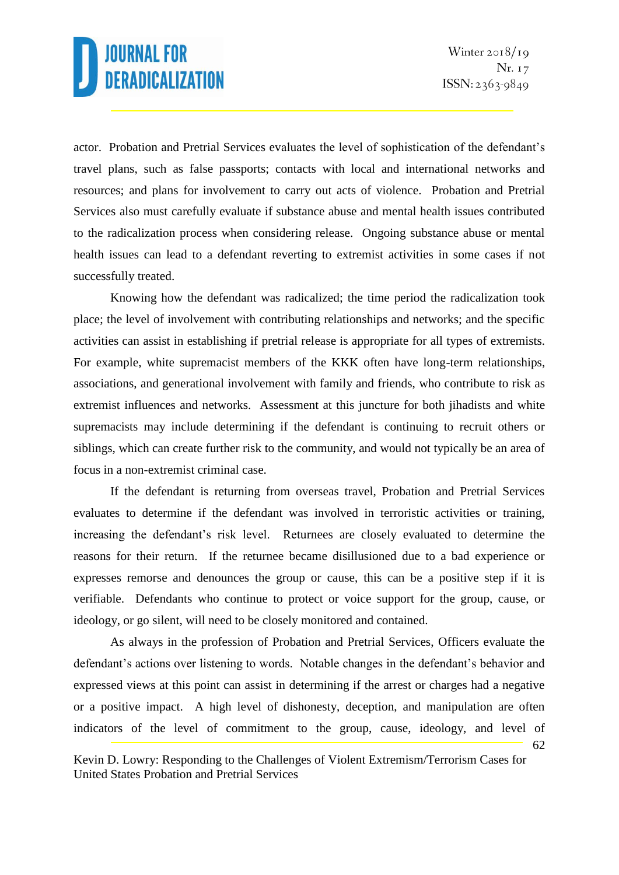62

actor. Probation and Pretrial Services evaluates the level of sophistication of the defendant's travel plans, such as false passports; contacts with local and international networks and resources; and plans for involvement to carry out acts of violence. Probation and Pretrial Services also must carefully evaluate if substance abuse and mental health issues contributed to the radicalization process when considering release. Ongoing substance abuse or mental health issues can lead to a defendant reverting to extremist activities in some cases if not successfully treated.

Knowing how the defendant was radicalized; the time period the radicalization took place; the level of involvement with contributing relationships and networks; and the specific activities can assist in establishing if pretrial release is appropriate for all types of extremists. For example, white supremacist members of the KKK often have long-term relationships, associations, and generational involvement with family and friends, who contribute to risk as extremist influences and networks. Assessment at this juncture for both jihadists and white supremacists may include determining if the defendant is continuing to recruit others or siblings, which can create further risk to the community, and would not typically be an area of focus in a non-extremist criminal case.

If the defendant is returning from overseas travel, Probation and Pretrial Services evaluates to determine if the defendant was involved in terroristic activities or training, increasing the defendant's risk level. Returnees are closely evaluated to determine the reasons for their return. If the returnee became disillusioned due to a bad experience or expresses remorse and denounces the group or cause, this can be a positive step if it is verifiable. Defendants who continue to protect or voice support for the group, cause, or ideology, or go silent, will need to be closely monitored and contained.

As always in the profession of Probation and Pretrial Services, Officers evaluate the defendant's actions over listening to words. Notable changes in the defendant's behavior and expressed views at this point can assist in determining if the arrest or charges had a negative or a positive impact. A high level of dishonesty, deception, and manipulation are often indicators of the level of commitment to the group, cause, ideology, and level of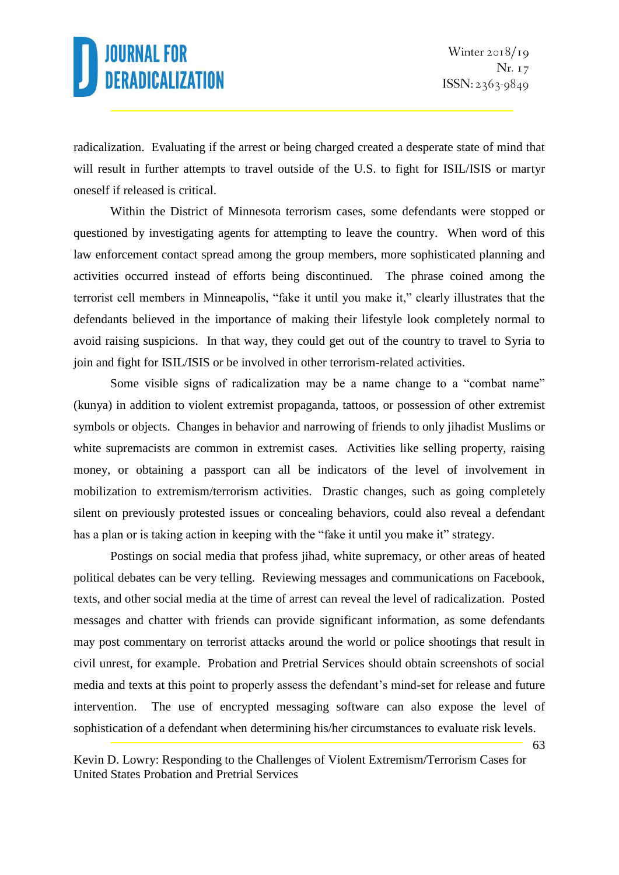radicalization. Evaluating if the arrest or being charged created a desperate state of mind that will result in further attempts to travel outside of the U.S. to fight for ISIL/ISIS or martyr oneself if released is critical.

Within the District of Minnesota terrorism cases, some defendants were stopped or questioned by investigating agents for attempting to leave the country. When word of this law enforcement contact spread among the group members, more sophisticated planning and activities occurred instead of efforts being discontinued. The phrase coined among the terrorist cell members in Minneapolis, "fake it until you make it," clearly illustrates that the defendants believed in the importance of making their lifestyle look completely normal to avoid raising suspicions. In that way, they could get out of the country to travel to Syria to join and fight for ISIL/ISIS or be involved in other terrorism-related activities.

Some visible signs of radicalization may be a name change to a "combat name" (kunya) in addition to violent extremist propaganda, tattoos, or possession of other extremist symbols or objects. Changes in behavior and narrowing of friends to only jihadist Muslims or white supremacists are common in extremist cases. Activities like selling property, raising money, or obtaining a passport can all be indicators of the level of involvement in mobilization to extremism/terrorism activities. Drastic changes, such as going completely silent on previously protested issues or concealing behaviors, could also reveal a defendant has a plan or is taking action in keeping with the "fake it until you make it" strategy.

Postings on social media that profess jihad, white supremacy, or other areas of heated political debates can be very telling. Reviewing messages and communications on Facebook, texts, and other social media at the time of arrest can reveal the level of radicalization. Posted messages and chatter with friends can provide significant information, as some defendants may post commentary on terrorist attacks around the world or police shootings that result in civil unrest, for example. Probation and Pretrial Services should obtain screenshots of social media and texts at this point to properly assess the defendant's mind-set for release and future intervention. The use of encrypted messaging software can also expose the level of sophistication of a defendant when determining his/her circumstances to evaluate risk levels.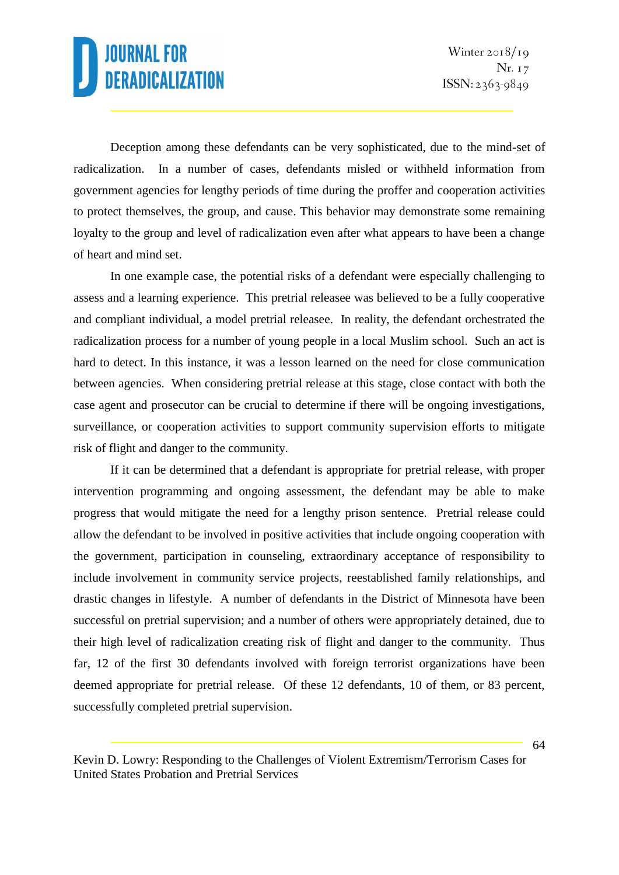Deception among these defendants can be very sophisticated, due to the mind-set of radicalization. In a number of cases, defendants misled or withheld information from government agencies for lengthy periods of time during the proffer and cooperation activities to protect themselves, the group, and cause. This behavior may demonstrate some remaining loyalty to the group and level of radicalization even after what appears to have been a change of heart and mind set.

In one example case, the potential risks of a defendant were especially challenging to assess and a learning experience. This pretrial releasee was believed to be a fully cooperative and compliant individual, a model pretrial releasee. In reality, the defendant orchestrated the radicalization process for a number of young people in a local Muslim school. Such an act is hard to detect. In this instance, it was a lesson learned on the need for close communication between agencies. When considering pretrial release at this stage, close contact with both the case agent and prosecutor can be crucial to determine if there will be ongoing investigations, surveillance, or cooperation activities to support community supervision efforts to mitigate risk of flight and danger to the community.

If it can be determined that a defendant is appropriate for pretrial release, with proper intervention programming and ongoing assessment, the defendant may be able to make progress that would mitigate the need for a lengthy prison sentence. Pretrial release could allow the defendant to be involved in positive activities that include ongoing cooperation with the government, participation in counseling, extraordinary acceptance of responsibility to include involvement in community service projects, reestablished family relationships, and drastic changes in lifestyle. A number of defendants in the District of Minnesota have been successful on pretrial supervision; and a number of others were appropriately detained, due to their high level of radicalization creating risk of flight and danger to the community. Thus far, 12 of the first 30 defendants involved with foreign terrorist organizations have been deemed appropriate for pretrial release. Of these 12 defendants, 10 of them, or 83 percent, successfully completed pretrial supervision.

Kevin D. Lowry: Responding to the Challenges of Violent Extremism/Terrorism Cases for United States Probation and Pretrial Services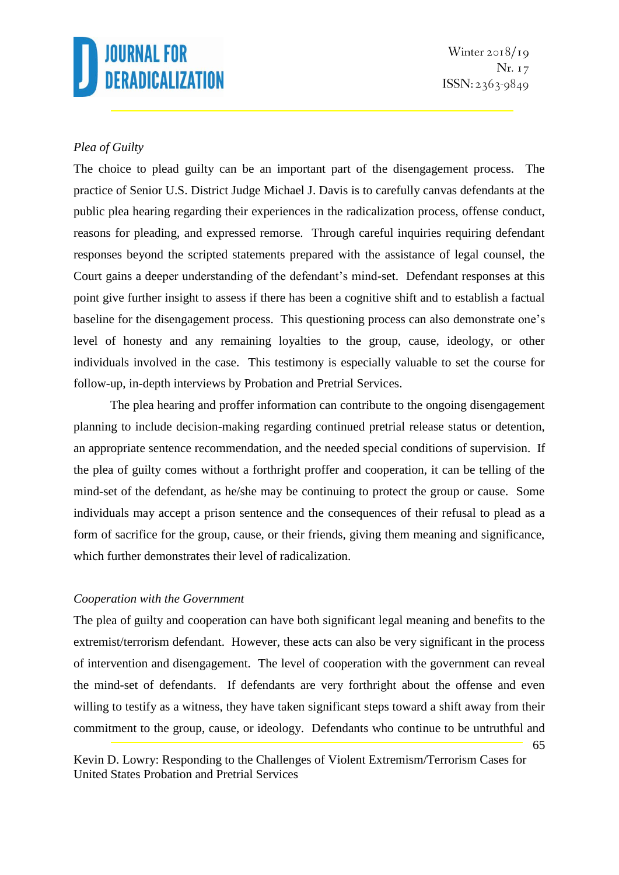### *Plea of Guilty*

The choice to plead guilty can be an important part of the disengagement process. The practice of Senior U.S. District Judge Michael J. Davis is to carefully canvas defendants at the public plea hearing regarding their experiences in the radicalization process, offense conduct, reasons for pleading, and expressed remorse. Through careful inquiries requiring defendant responses beyond the scripted statements prepared with the assistance of legal counsel, the Court gains a deeper understanding of the defendant's mind-set. Defendant responses at this point give further insight to assess if there has been a cognitive shift and to establish a factual baseline for the disengagement process. This questioning process can also demonstrate one's level of honesty and any remaining loyalties to the group, cause, ideology, or other individuals involved in the case. This testimony is especially valuable to set the course for follow-up, in-depth interviews by Probation and Pretrial Services.

The plea hearing and proffer information can contribute to the ongoing disengagement planning to include decision-making regarding continued pretrial release status or detention, an appropriate sentence recommendation, and the needed special conditions of supervision. If the plea of guilty comes without a forthright proffer and cooperation, it can be telling of the mind-set of the defendant, as he/she may be continuing to protect the group or cause. Some individuals may accept a prison sentence and the consequences of their refusal to plead as a form of sacrifice for the group, cause, or their friends, giving them meaning and significance, which further demonstrates their level of radicalization.

### *Cooperation with the Government*

The plea of guilty and cooperation can have both significant legal meaning and benefits to the extremist/terrorism defendant. However, these acts can also be very significant in the process of intervention and disengagement. The level of cooperation with the government can reveal the mind-set of defendants. If defendants are very forthright about the offense and even willing to testify as a witness, they have taken significant steps toward a shift away from their commitment to the group, cause, or ideology. Defendants who continue to be untruthful and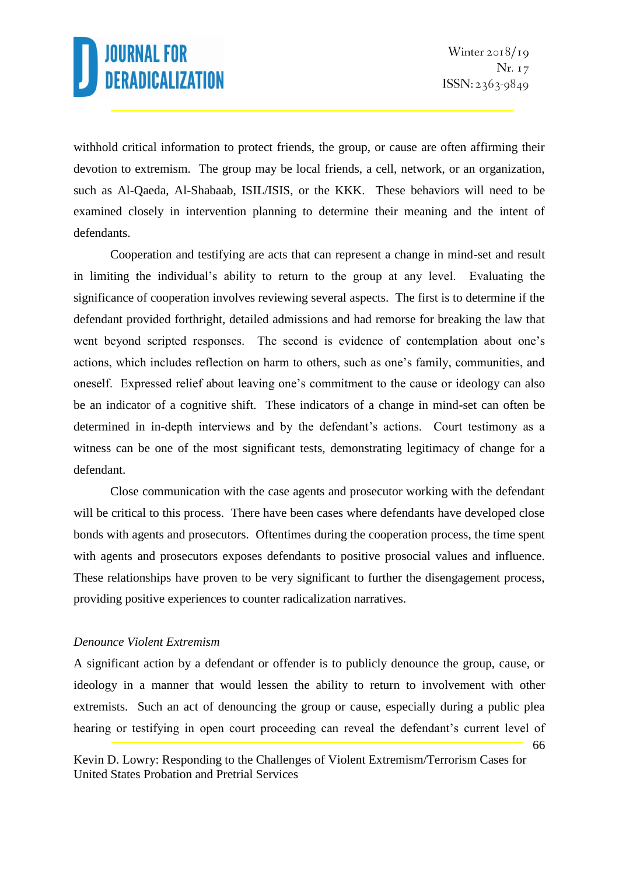66

withhold critical information to protect friends, the group, or cause are often affirming their devotion to extremism. The group may be local friends, a cell, network, or an organization, such as Al-Qaeda, Al-Shabaab, ISIL/ISIS, or the KKK. These behaviors will need to be examined closely in intervention planning to determine their meaning and the intent of defendants.

Cooperation and testifying are acts that can represent a change in mind-set and result in limiting the individual's ability to return to the group at any level. Evaluating the significance of cooperation involves reviewing several aspects. The first is to determine if the defendant provided forthright, detailed admissions and had remorse for breaking the law that went beyond scripted responses. The second is evidence of contemplation about one's actions, which includes reflection on harm to others, such as one's family, communities, and oneself. Expressed relief about leaving one's commitment to the cause or ideology can also be an indicator of a cognitive shift. These indicators of a change in mind-set can often be determined in in-depth interviews and by the defendant's actions. Court testimony as a witness can be one of the most significant tests, demonstrating legitimacy of change for a defendant.

Close communication with the case agents and prosecutor working with the defendant will be critical to this process. There have been cases where defendants have developed close bonds with agents and prosecutors. Oftentimes during the cooperation process, the time spent with agents and prosecutors exposes defendants to positive prosocial values and influence. These relationships have proven to be very significant to further the disengagement process, providing positive experiences to counter radicalization narratives.

#### *Denounce Violent Extremism*

A significant action by a defendant or offender is to publicly denounce the group, cause, or ideology in a manner that would lessen the ability to return to involvement with other extremists. Such an act of denouncing the group or cause, especially during a public plea hearing or testifying in open court proceeding can reveal the defendant's current level of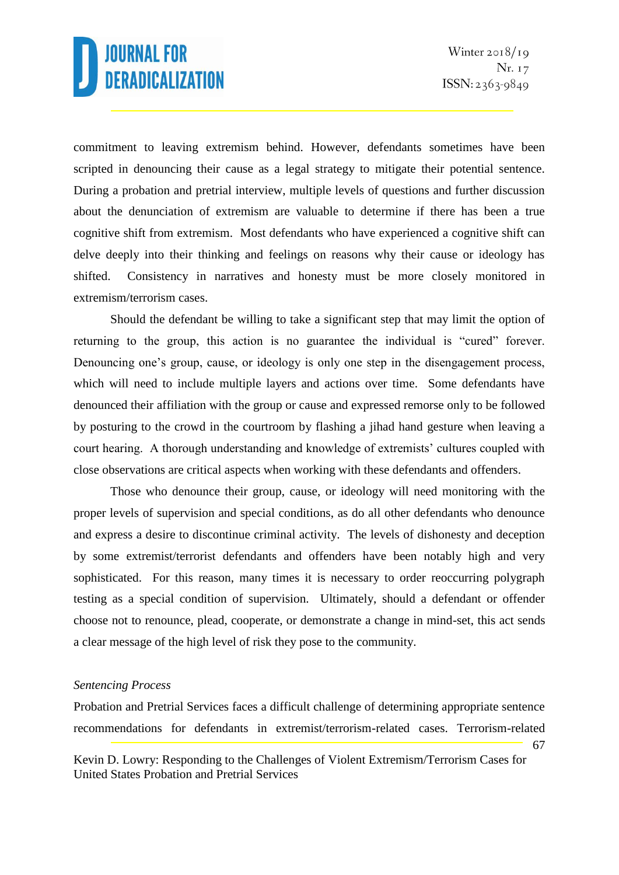commitment to leaving extremism behind. However, defendants sometimes have been scripted in denouncing their cause as a legal strategy to mitigate their potential sentence. During a probation and pretrial interview, multiple levels of questions and further discussion about the denunciation of extremism are valuable to determine if there has been a true cognitive shift from extremism. Most defendants who have experienced a cognitive shift can delve deeply into their thinking and feelings on reasons why their cause or ideology has shifted. Consistency in narratives and honesty must be more closely monitored in extremism/terrorism cases.

Should the defendant be willing to take a significant step that may limit the option of returning to the group, this action is no guarantee the individual is "cured" forever. Denouncing one's group, cause, or ideology is only one step in the disengagement process, which will need to include multiple layers and actions over time. Some defendants have denounced their affiliation with the group or cause and expressed remorse only to be followed by posturing to the crowd in the courtroom by flashing a jihad hand gesture when leaving a court hearing. A thorough understanding and knowledge of extremists' cultures coupled with close observations are critical aspects when working with these defendants and offenders.

Those who denounce their group, cause, or ideology will need monitoring with the proper levels of supervision and special conditions, as do all other defendants who denounce and express a desire to discontinue criminal activity. The levels of dishonesty and deception by some extremist/terrorist defendants and offenders have been notably high and very sophisticated. For this reason, many times it is necessary to order reoccurring polygraph testing as a special condition of supervision. Ultimately, should a defendant or offender choose not to renounce, plead, cooperate, or demonstrate a change in mind-set, this act sends a clear message of the high level of risk they pose to the community.

#### *Sentencing Process*

Probation and Pretrial Services faces a difficult challenge of determining appropriate sentence recommendations for defendants in extremist/terrorism-related cases. Terrorism-related

<sup>67</sup>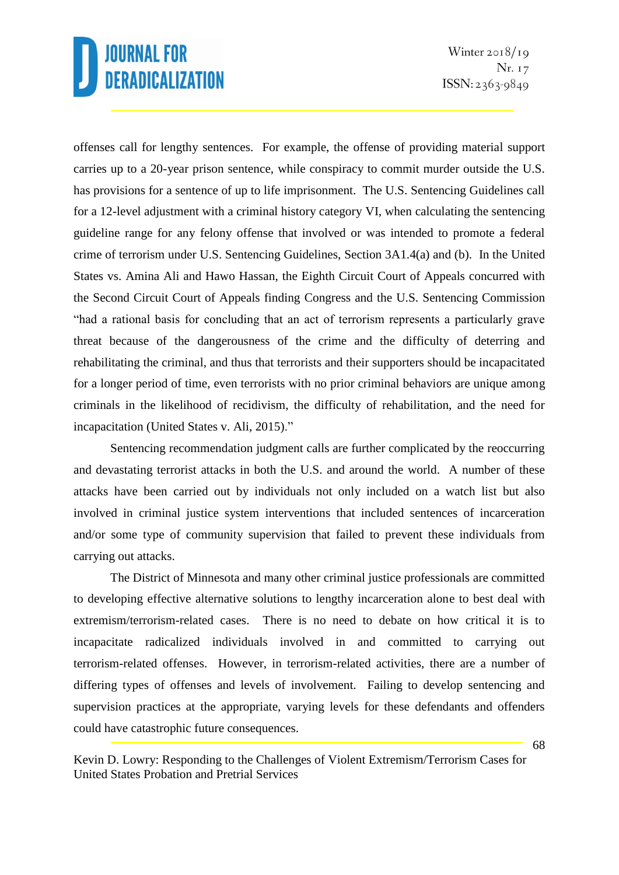Winter  $2018/19$ Nr. 17  $ISSN: 2363-9849$ 

offenses call for lengthy sentences. For example, the offense of providing material support carries up to a 20-year prison sentence, while conspiracy to commit murder outside the U.S. has provisions for a sentence of up to life imprisonment. The U.S. Sentencing Guidelines call for a 12-level adjustment with a criminal history category VI, when calculating the sentencing guideline range for any felony offense that involved or was intended to promote a federal crime of terrorism under U.S. Sentencing Guidelines, Section 3A1.4(a) and (b). In the United States vs. Amina Ali and Hawo Hassan, the Eighth Circuit Court of Appeals concurred with the Second Circuit Court of Appeals finding Congress and the U.S. Sentencing Commission "had a rational basis for concluding that an act of terrorism represents a particularly grave threat because of the dangerousness of the crime and the difficulty of deterring and rehabilitating the criminal, and thus that terrorists and their supporters should be incapacitated for a longer period of time, even terrorists with no prior criminal behaviors are unique among criminals in the likelihood of recidivism, the difficulty of rehabilitation, and the need for incapacitation (United States v. Ali, 2015)."

Sentencing recommendation judgment calls are further complicated by the reoccurring and devastating terrorist attacks in both the U.S. and around the world. A number of these attacks have been carried out by individuals not only included on a watch list but also involved in criminal justice system interventions that included sentences of incarceration and/or some type of community supervision that failed to prevent these individuals from carrying out attacks.

The District of Minnesota and many other criminal justice professionals are committed to developing effective alternative solutions to lengthy incarceration alone to best deal with extremism/terrorism-related cases. There is no need to debate on how critical it is to incapacitate radicalized individuals involved in and committed to carrying out terrorism-related offenses. However, in terrorism-related activities, there are a number of differing types of offenses and levels of involvement. Failing to develop sentencing and supervision practices at the appropriate, varying levels for these defendants and offenders could have catastrophic future consequences.

Kevin D. Lowry: Responding to the Challenges of Violent Extremism/Terrorism Cases for United States Probation and Pretrial Services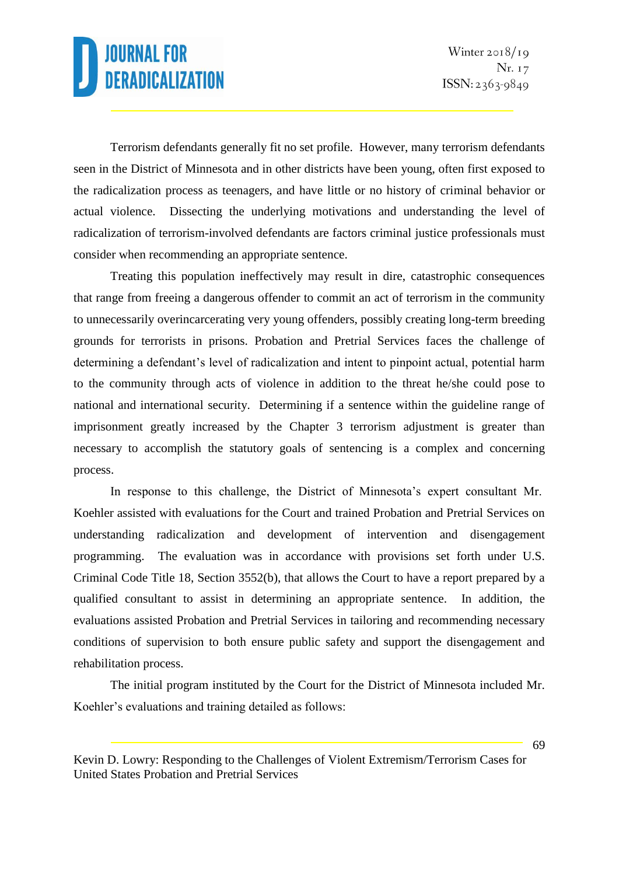Terrorism defendants generally fit no set profile. However, many terrorism defendants seen in the District of Minnesota and in other districts have been young, often first exposed to the radicalization process as teenagers, and have little or no history of criminal behavior or actual violence. Dissecting the underlying motivations and understanding the level of radicalization of terrorism-involved defendants are factors criminal justice professionals must consider when recommending an appropriate sentence.

Treating this population ineffectively may result in dire, catastrophic consequences that range from freeing a dangerous offender to commit an act of terrorism in the community to unnecessarily overincarcerating very young offenders, possibly creating long-term breeding grounds for terrorists in prisons. Probation and Pretrial Services faces the challenge of determining a defendant's level of radicalization and intent to pinpoint actual, potential harm to the community through acts of violence in addition to the threat he/she could pose to national and international security. Determining if a sentence within the guideline range of imprisonment greatly increased by the Chapter 3 terrorism adjustment is greater than necessary to accomplish the statutory goals of sentencing is a complex and concerning process.

In response to this challenge, the District of Minnesota's expert consultant Mr. Koehler assisted with evaluations for the Court and trained Probation and Pretrial Services on understanding radicalization and development of intervention and disengagement programming. The evaluation was in accordance with provisions set forth under U.S. Criminal Code Title 18, Section 3552(b), that allows the Court to have a report prepared by a qualified consultant to assist in determining an appropriate sentence. In addition, the evaluations assisted Probation and Pretrial Services in tailoring and recommending necessary conditions of supervision to both ensure public safety and support the disengagement and rehabilitation process.

The initial program instituted by the Court for the District of Minnesota included Mr. Koehler's evaluations and training detailed as follows:

Kevin D. Lowry: Responding to the Challenges of Violent Extremism/Terrorism Cases for United States Probation and Pretrial Services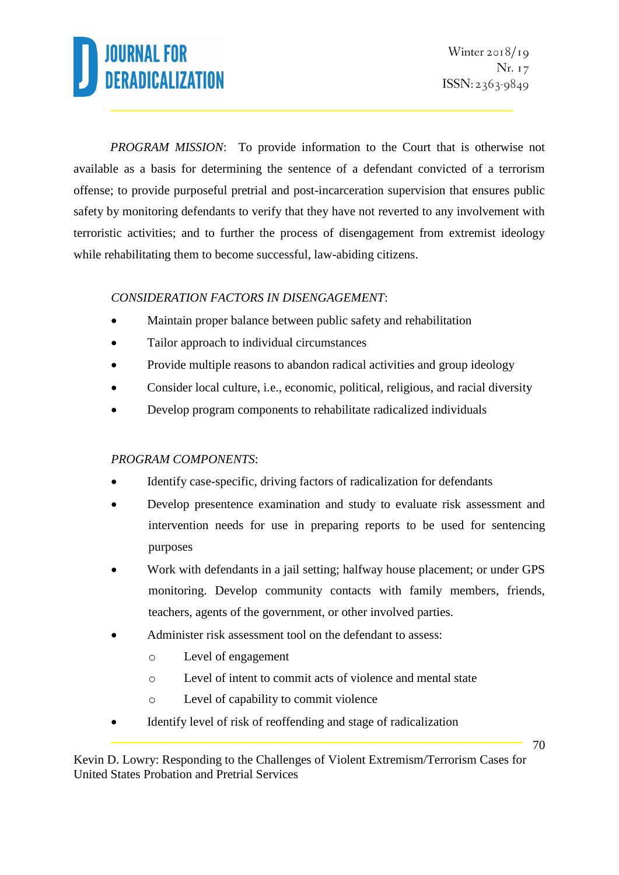*PROGRAM MISSION*: To provide information to the Court that is otherwise not available as a basis for determining the sentence of a defendant convicted of a terrorism offense; to provide purposeful pretrial and post-incarceration supervision that ensures public safety by monitoring defendants to verify that they have not reverted to any involvement with terroristic activities; and to further the process of disengagement from extremist ideology while rehabilitating them to become successful, law-abiding citizens.

### *CONSIDERATION FACTORS IN DISENGAGEMENT*:

- Maintain proper balance between public safety and rehabilitation
- Tailor approach to individual circumstances
- Provide multiple reasons to abandon radical activities and group ideology
- Consider local culture, i.e., economic, political, religious, and racial diversity
- Develop program components to rehabilitate radicalized individuals

### *PROGRAM COMPONENTS*:

- Identify case-specific, driving factors of radicalization for defendants
- Develop presentence examination and study to evaluate risk assessment and intervention needs for use in preparing reports to be used for sentencing purposes
- Work with defendants in a jail setting; halfway house placement; or under GPS monitoring. Develop community contacts with family members, friends, teachers, agents of the government, or other involved parties.
- Administer risk assessment tool on the defendant to assess:
	- o Level of engagement
	- o Level of intent to commit acts of violence and mental state
	- o Level of capability to commit violence
- Identify level of risk of reoffending and stage of radicalization

Kevin D. Lowry: Responding to the Challenges of Violent Extremism/Terrorism Cases for United States Probation and Pretrial Services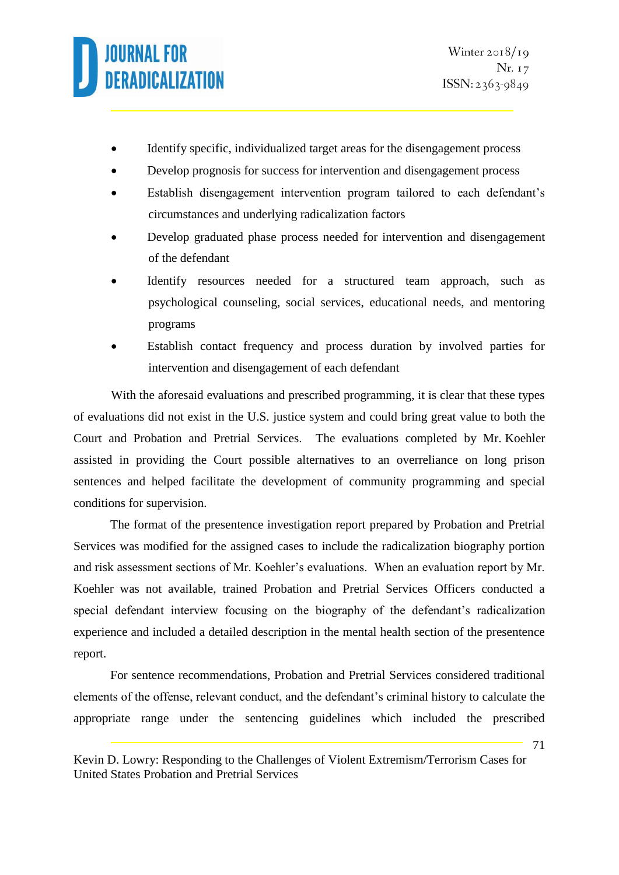- Identify specific, individualized target areas for the disengagement process
- Develop prognosis for success for intervention and disengagement process
- Establish disengagement intervention program tailored to each defendant's circumstances and underlying radicalization factors
- Develop graduated phase process needed for intervention and disengagement of the defendant
- Identify resources needed for a structured team approach, such as psychological counseling, social services, educational needs, and mentoring programs
- Establish contact frequency and process duration by involved parties for intervention and disengagement of each defendant

With the aforesaid evaluations and prescribed programming, it is clear that these types of evaluations did not exist in the U.S. justice system and could bring great value to both the Court and Probation and Pretrial Services. The evaluations completed by Mr. Koehler assisted in providing the Court possible alternatives to an overreliance on long prison sentences and helped facilitate the development of community programming and special conditions for supervision.

The format of the presentence investigation report prepared by Probation and Pretrial Services was modified for the assigned cases to include the radicalization biography portion and risk assessment sections of Mr. Koehler's evaluations. When an evaluation report by Mr. Koehler was not available, trained Probation and Pretrial Services Officers conducted a special defendant interview focusing on the biography of the defendant's radicalization experience and included a detailed description in the mental health section of the presentence report.

For sentence recommendations, Probation and Pretrial Services considered traditional elements of the offense, relevant conduct, and the defendant's criminal history to calculate the appropriate range under the sentencing guidelines which included the prescribed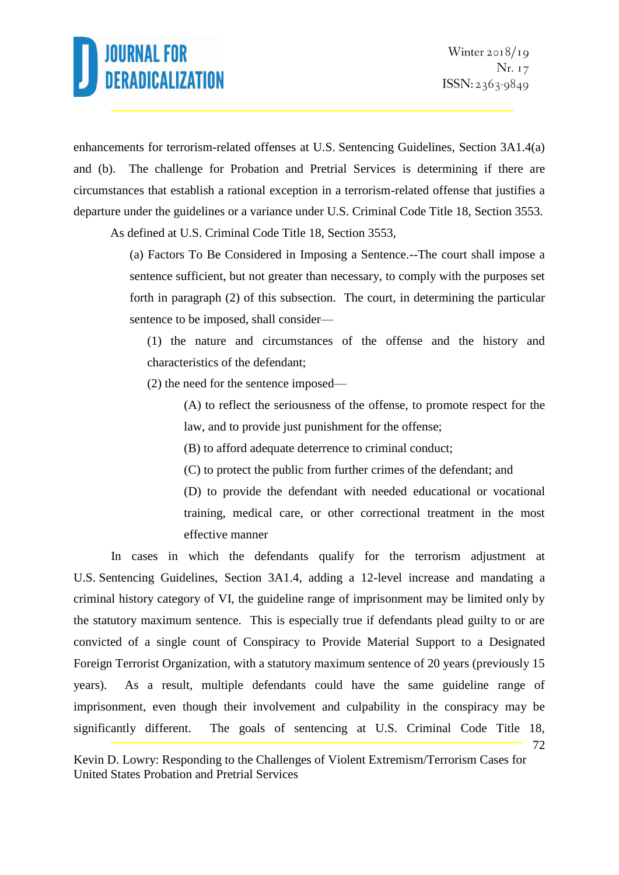enhancements for terrorism-related offenses at U.S. Sentencing Guidelines, Section 3A1.4(a) and (b). The challenge for Probation and Pretrial Services is determining if there are circumstances that establish a rational exception in a terrorism-related offense that justifies a departure under the guidelines or a variance under U.S. Criminal Code Title 18, Section 3553.

As defined at U.S. Criminal Code Title 18, Section 3553,

(a) Factors To Be Considered in Imposing a Sentence.--The court shall impose a sentence sufficient, but not greater than necessary, to comply with the purposes set forth in paragraph (2) of this subsection. The court, in determining the particular sentence to be imposed, shall consider—

(1) the nature and circumstances of the offense and the history and characteristics of the defendant;

(2) the need for the sentence imposed—

(A) to reflect the seriousness of the offense, to promote respect for the law, and to provide just punishment for the offense;

(B) to afford adequate deterrence to criminal conduct;

(C) to protect the public from further crimes of the defendant; and

(D) to provide the defendant with needed educational or vocational training, medical care, or other correctional treatment in the most effective manner

72 In cases in which the defendants qualify for the terrorism adjustment at U.S. Sentencing Guidelines, Section 3A1.4, adding a 12-level increase and mandating a criminal history category of VI, the guideline range of imprisonment may be limited only by the statutory maximum sentence. This is especially true if defendants plead guilty to or are convicted of a single count of Conspiracy to Provide Material Support to a Designated Foreign Terrorist Organization, with a statutory maximum sentence of 20 years (previously 15 years). As a result, multiple defendants could have the same guideline range of imprisonment, even though their involvement and culpability in the conspiracy may be significantly different. The goals of sentencing at U.S. Criminal Code Title 18,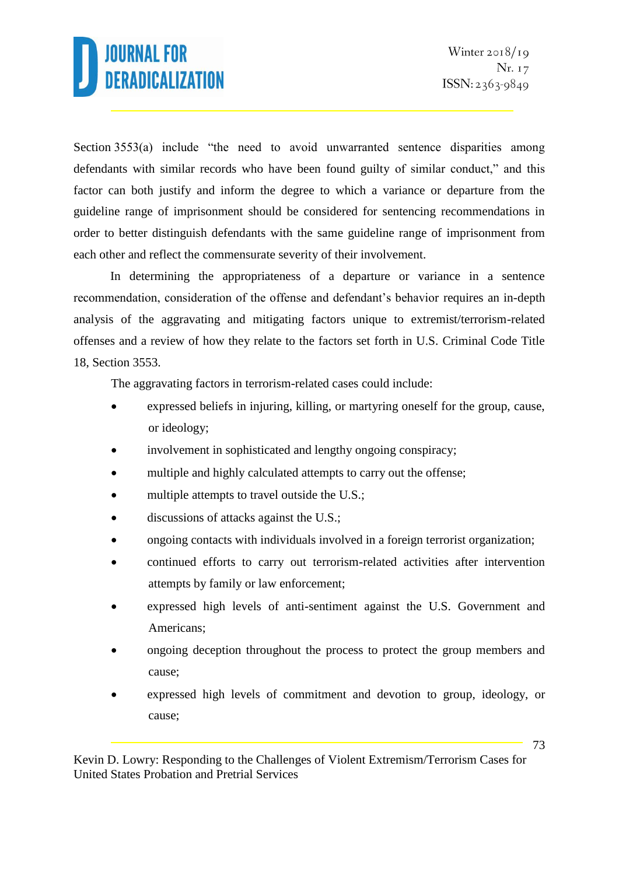Section 3553(a) include "the need to avoid unwarranted sentence disparities among defendants with similar records who have been found guilty of similar conduct," and this factor can both justify and inform the degree to which a variance or departure from the guideline range of imprisonment should be considered for sentencing recommendations in order to better distinguish defendants with the same guideline range of imprisonment from each other and reflect the commensurate severity of their involvement.

In determining the appropriateness of a departure or variance in a sentence recommendation, consideration of the offense and defendant's behavior requires an in-depth analysis of the aggravating and mitigating factors unique to extremist/terrorism-related offenses and a review of how they relate to the factors set forth in U.S. Criminal Code Title 18, Section 3553.

The aggravating factors in terrorism-related cases could include:

- expressed beliefs in injuring, killing, or martyring oneself for the group, cause, or ideology;
- involvement in sophisticated and lengthy ongoing conspiracy;
- multiple and highly calculated attempts to carry out the offense;
- multiple attempts to travel outside the U.S.;
- discussions of attacks against the U.S.;
- ongoing contacts with individuals involved in a foreign terrorist organization;
- continued efforts to carry out terrorism-related activities after intervention attempts by family or law enforcement;
- expressed high levels of anti-sentiment against the U.S. Government and Americans;
- ongoing deception throughout the process to protect the group members and cause;
- expressed high levels of commitment and devotion to group, ideology, or cause;

Kevin D. Lowry: Responding to the Challenges of Violent Extremism/Terrorism Cases for United States Probation and Pretrial Services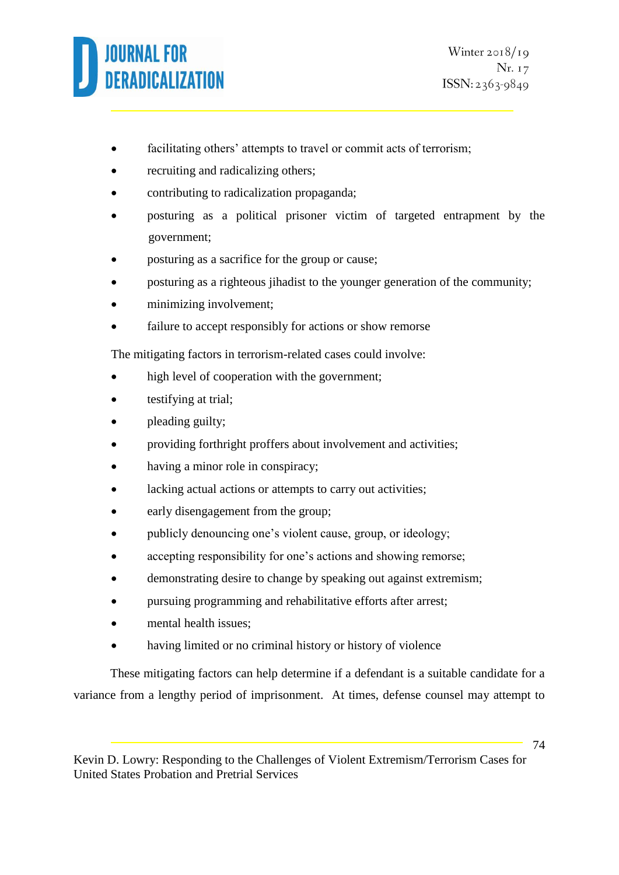

- facilitating others' attempts to travel or commit acts of terrorism;
- recruiting and radicalizing others;
- contributing to radicalization propaganda;
- posturing as a political prisoner victim of targeted entrapment by the government;
- posturing as a sacrifice for the group or cause;
- posturing as a righteous jihadist to the younger generation of the community;
- minimizing involvement;
- failure to accept responsibly for actions or show remorse

The mitigating factors in terrorism-related cases could involve:

- high level of cooperation with the government;
- testifying at trial;
- pleading guilty;
- providing forthright proffers about involvement and activities;
- having a minor role in conspiracy;
- lacking actual actions or attempts to carry out activities;
- early disengagement from the group;
- publicly denouncing one's violent cause, group, or ideology;
- accepting responsibility for one's actions and showing remorse;
- demonstrating desire to change by speaking out against extremism;
- pursuing programming and rehabilitative efforts after arrest;
- mental health issues;
- having limited or no criminal history or history of violence

These mitigating factors can help determine if a defendant is a suitable candidate for a variance from a lengthy period of imprisonment. At times, defense counsel may attempt to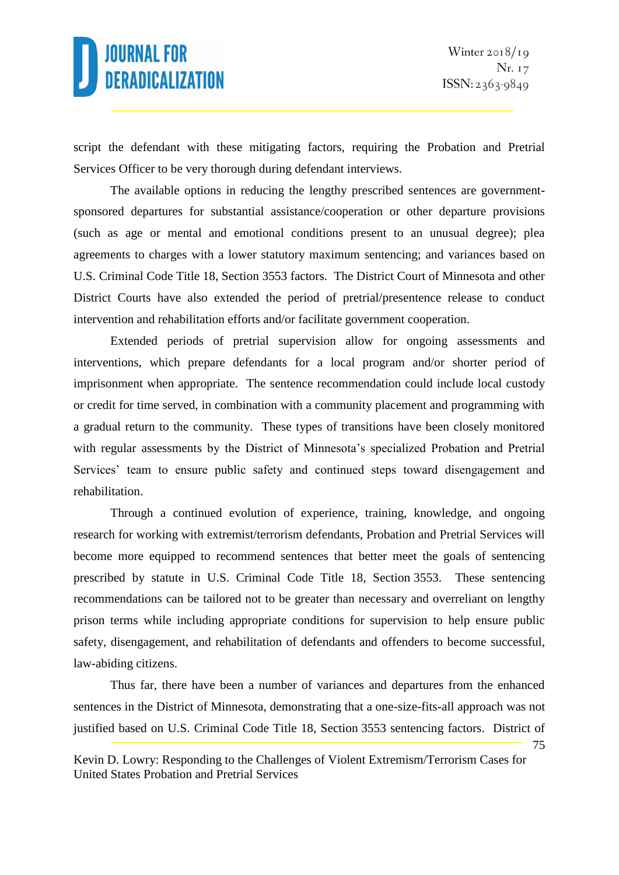script the defendant with these mitigating factors, requiring the Probation and Pretrial Services Officer to be very thorough during defendant interviews.

The available options in reducing the lengthy prescribed sentences are governmentsponsored departures for substantial assistance/cooperation or other departure provisions (such as age or mental and emotional conditions present to an unusual degree); plea agreements to charges with a lower statutory maximum sentencing; and variances based on U.S. Criminal Code Title 18, Section 3553 factors. The District Court of Minnesota and other District Courts have also extended the period of pretrial/presentence release to conduct intervention and rehabilitation efforts and/or facilitate government cooperation.

Extended periods of pretrial supervision allow for ongoing assessments and interventions, which prepare defendants for a local program and/or shorter period of imprisonment when appropriate. The sentence recommendation could include local custody or credit for time served, in combination with a community placement and programming with a gradual return to the community. These types of transitions have been closely monitored with regular assessments by the District of Minnesota's specialized Probation and Pretrial Services' team to ensure public safety and continued steps toward disengagement and rehabilitation.

Through a continued evolution of experience, training, knowledge, and ongoing research for working with extremist/terrorism defendants, Probation and Pretrial Services will become more equipped to recommend sentences that better meet the goals of sentencing prescribed by statute in U.S. Criminal Code Title 18, Section 3553. These sentencing recommendations can be tailored not to be greater than necessary and overreliant on lengthy prison terms while including appropriate conditions for supervision to help ensure public safety, disengagement, and rehabilitation of defendants and offenders to become successful, law-abiding citizens.

Thus far, there have been a number of variances and departures from the enhanced sentences in the District of Minnesota, demonstrating that a one-size-fits-all approach was not justified based on U.S. Criminal Code Title 18, Section 3553 sentencing factors. District of

<sup>75</sup>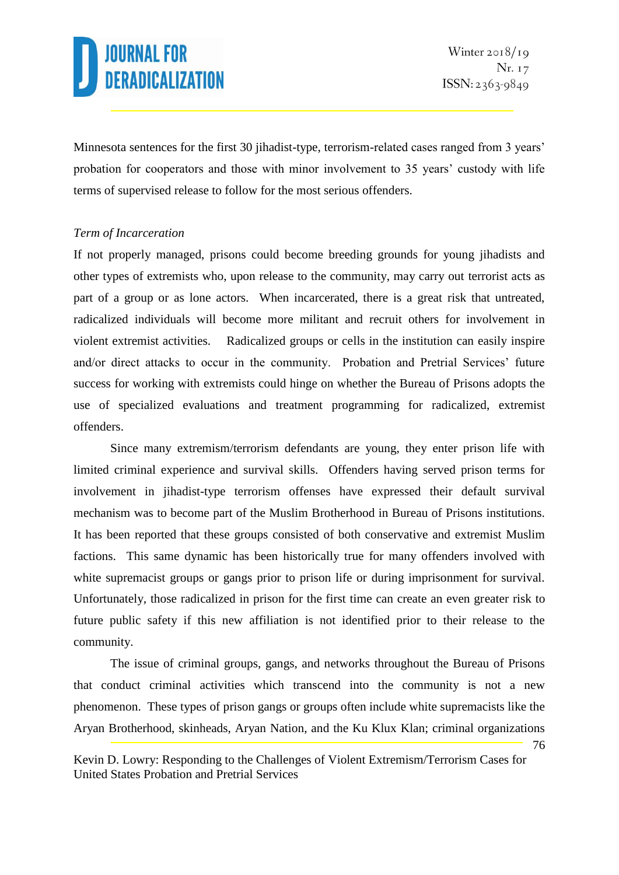Minnesota sentences for the first 30 jihadist-type, terrorism-related cases ranged from 3 years' probation for cooperators and those with minor involvement to 35 years' custody with life terms of supervised release to follow for the most serious offenders.

#### *Term of Incarceration*

If not properly managed, prisons could become breeding grounds for young jihadists and other types of extremists who, upon release to the community, may carry out terrorist acts as part of a group or as lone actors. When incarcerated, there is a great risk that untreated, radicalized individuals will become more militant and recruit others for involvement in violent extremist activities. Radicalized groups or cells in the institution can easily inspire and/or direct attacks to occur in the community. Probation and Pretrial Services' future success for working with extremists could hinge on whether the Bureau of Prisons adopts the use of specialized evaluations and treatment programming for radicalized, extremist offenders.

Since many extremism/terrorism defendants are young, they enter prison life with limited criminal experience and survival skills. Offenders having served prison terms for involvement in jihadist-type terrorism offenses have expressed their default survival mechanism was to become part of the Muslim Brotherhood in Bureau of Prisons institutions. It has been reported that these groups consisted of both conservative and extremist Muslim factions. This same dynamic has been historically true for many offenders involved with white supremacist groups or gangs prior to prison life or during imprisonment for survival. Unfortunately, those radicalized in prison for the first time can create an even greater risk to future public safety if this new affiliation is not identified prior to their release to the community.

The issue of criminal groups, gangs, and networks throughout the Bureau of Prisons that conduct criminal activities which transcend into the community is not a new phenomenon. These types of prison gangs or groups often include white supremacists like the Aryan Brotherhood, skinheads, Aryan Nation, and the Ku Klux Klan; criminal organizations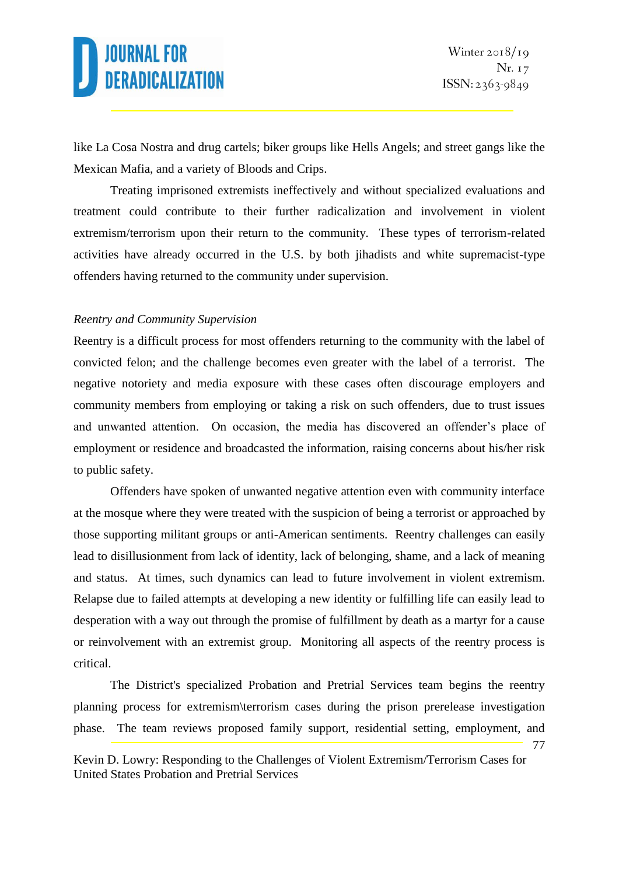like La Cosa Nostra and drug cartels; biker groups like Hells Angels; and street gangs like the Mexican Mafia, and a variety of Bloods and Crips.

Treating imprisoned extremists ineffectively and without specialized evaluations and treatment could contribute to their further radicalization and involvement in violent extremism/terrorism upon their return to the community. These types of terrorism-related activities have already occurred in the U.S. by both jihadists and white supremacist-type offenders having returned to the community under supervision.

#### *Reentry and Community Supervision*

Reentry is a difficult process for most offenders returning to the community with the label of convicted felon; and the challenge becomes even greater with the label of a terrorist. The negative notoriety and media exposure with these cases often discourage employers and community members from employing or taking a risk on such offenders, due to trust issues and unwanted attention. On occasion, the media has discovered an offender's place of employment or residence and broadcasted the information, raising concerns about his/her risk to public safety.

Offenders have spoken of unwanted negative attention even with community interface at the mosque where they were treated with the suspicion of being a terrorist or approached by those supporting militant groups or anti-American sentiments. Reentry challenges can easily lead to disillusionment from lack of identity, lack of belonging, shame, and a lack of meaning and status. At times, such dynamics can lead to future involvement in violent extremism. Relapse due to failed attempts at developing a new identity or fulfilling life can easily lead to desperation with a way out through the promise of fulfillment by death as a martyr for a cause or reinvolvement with an extremist group. Monitoring all aspects of the reentry process is critical.

The District's specialized Probation and Pretrial Services team begins the reentry planning process for extremism\terrorism cases during the prison prerelease investigation phase. The team reviews proposed family support, residential setting, employment, and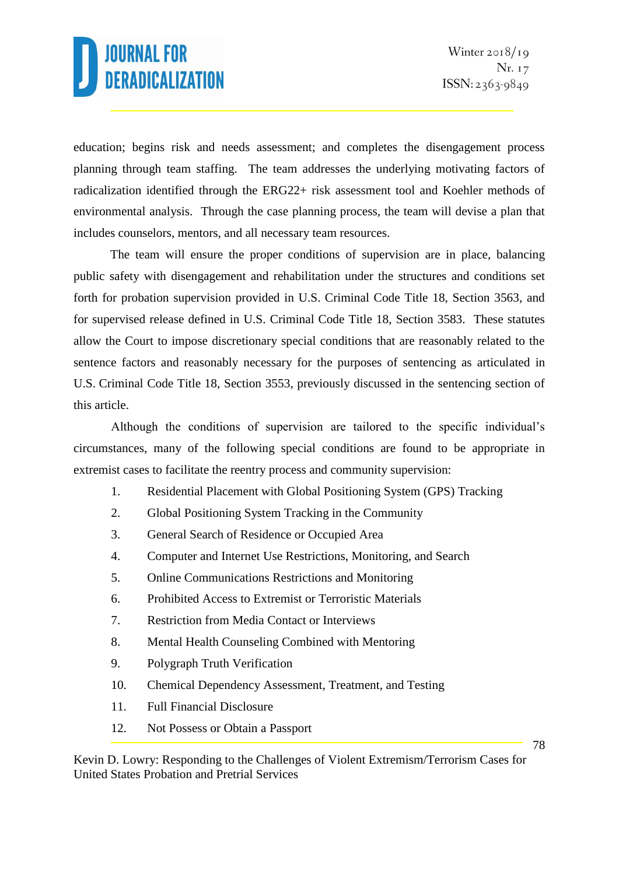education; begins risk and needs assessment; and completes the disengagement process planning through team staffing. The team addresses the underlying motivating factors of radicalization identified through the ERG22+ risk assessment tool and Koehler methods of environmental analysis. Through the case planning process, the team will devise a plan that includes counselors, mentors, and all necessary team resources.

The team will ensure the proper conditions of supervision are in place, balancing public safety with disengagement and rehabilitation under the structures and conditions set forth for probation supervision provided in U.S. Criminal Code Title 18, Section 3563, and for supervised release defined in U.S. Criminal Code Title 18, Section 3583. These statutes allow the Court to impose discretionary special conditions that are reasonably related to the sentence factors and reasonably necessary for the purposes of sentencing as articulated in U.S. Criminal Code Title 18, Section 3553, previously discussed in the sentencing section of this article.

Although the conditions of supervision are tailored to the specific individual's circumstances, many of the following special conditions are found to be appropriate in extremist cases to facilitate the reentry process and community supervision:

- 1. Residential Placement with Global Positioning System (GPS) Tracking
- 2. Global Positioning System Tracking in the Community
- 3. General Search of Residence or Occupied Area
- 4. Computer and Internet Use Restrictions, Monitoring, and Search
- 5. Online Communications Restrictions and Monitoring
- 6. Prohibited Access to Extremist or Terroristic Materials
- 7. Restriction from Media Contact or Interviews
- 8. Mental Health Counseling Combined with Mentoring
- 9. Polygraph Truth Verification
- 10. Chemical Dependency Assessment, Treatment, and Testing
- 11. Full Financial Disclosure
- 12. Not Possess or Obtain a Passport

Kevin D. Lowry: Responding to the Challenges of Violent Extremism/Terrorism Cases for United States Probation and Pretrial Services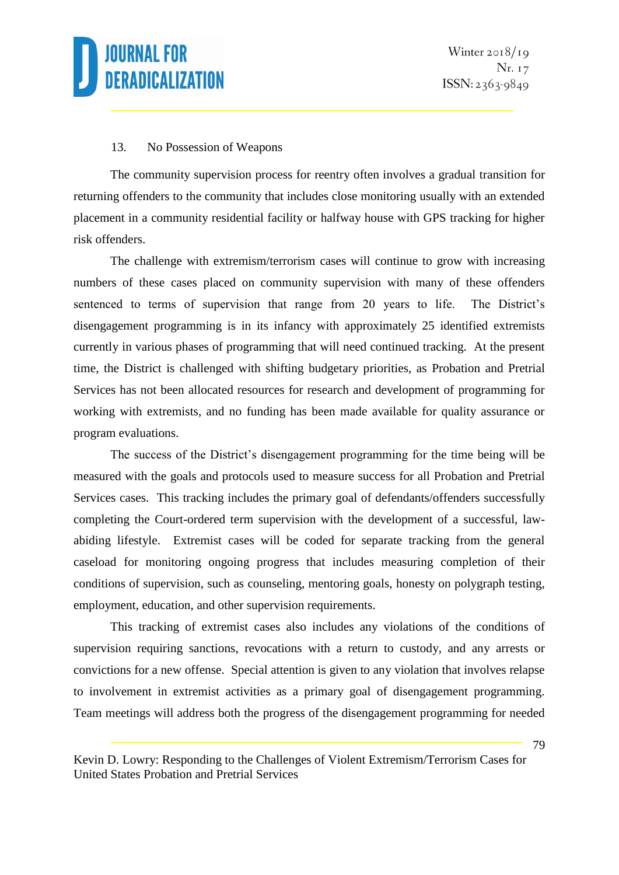

#### 13. No Possession of Weapons

The community supervision process for reentry often involves a gradual transition for returning offenders to the community that includes close monitoring usually with an extended placement in a community residential facility or halfway house with GPS tracking for higher risk offenders.

The challenge with extremism/terrorism cases will continue to grow with increasing numbers of these cases placed on community supervision with many of these offenders sentenced to terms of supervision that range from 20 years to life. The District's disengagement programming is in its infancy with approximately 25 identified extremists currently in various phases of programming that will need continued tracking. At the present time, the District is challenged with shifting budgetary priorities, as Probation and Pretrial Services has not been allocated resources for research and development of programming for working with extremists, and no funding has been made available for quality assurance or program evaluations.

The success of the District's disengagement programming for the time being will be measured with the goals and protocols used to measure success for all Probation and Pretrial Services cases. This tracking includes the primary goal of defendants/offenders successfully completing the Court-ordered term supervision with the development of a successful, lawabiding lifestyle. Extremist cases will be coded for separate tracking from the general caseload for monitoring ongoing progress that includes measuring completion of their conditions of supervision, such as counseling, mentoring goals, honesty on polygraph testing, employment, education, and other supervision requirements.

This tracking of extremist cases also includes any violations of the conditions of supervision requiring sanctions, revocations with a return to custody, and any arrests or convictions for a new offense. Special attention is given to any violation that involves relapse to involvement in extremist activities as a primary goal of disengagement programming. Team meetings will address both the progress of the disengagement programming for needed

Kevin D. Lowry: Responding to the Challenges of Violent Extremism/Terrorism Cases for United States Probation and Pretrial Services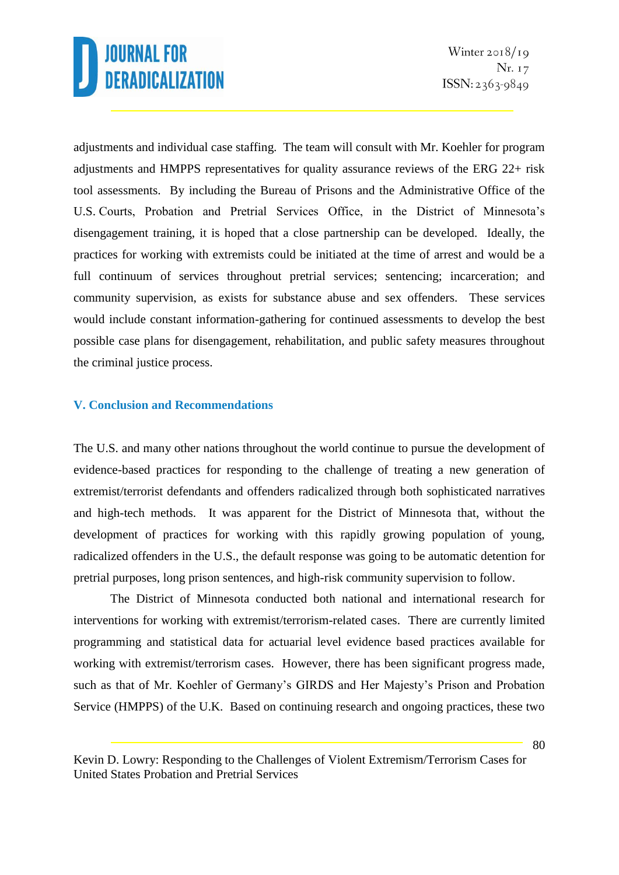adjustments and individual case staffing. The team will consult with Mr. Koehler for program adjustments and HMPPS representatives for quality assurance reviews of the ERG 22+ risk tool assessments. By including the Bureau of Prisons and the Administrative Office of the U.S. Courts, Probation and Pretrial Services Office, in the District of Minnesota's disengagement training, it is hoped that a close partnership can be developed. Ideally, the practices for working with extremists could be initiated at the time of arrest and would be a full continuum of services throughout pretrial services; sentencing; incarceration; and community supervision, as exists for substance abuse and sex offenders. These services would include constant information-gathering for continued assessments to develop the best possible case plans for disengagement, rehabilitation, and public safety measures throughout the criminal justice process.

#### **V. Conclusion and Recommendations**

The U.S. and many other nations throughout the world continue to pursue the development of evidence-based practices for responding to the challenge of treating a new generation of extremist/terrorist defendants and offenders radicalized through both sophisticated narratives and high-tech methods. It was apparent for the District of Minnesota that, without the development of practices for working with this rapidly growing population of young, radicalized offenders in the U.S., the default response was going to be automatic detention for pretrial purposes, long prison sentences, and high-risk community supervision to follow.

The District of Minnesota conducted both national and international research for interventions for working with extremist/terrorism-related cases. There are currently limited programming and statistical data for actuarial level evidence based practices available for working with extremist/terrorism cases. However, there has been significant progress made, such as that of Mr. Koehler of Germany's GIRDS and Her Majesty's Prison and Probation Service (HMPPS) of the U.K. Based on continuing research and ongoing practices, these two

Kevin D. Lowry: Responding to the Challenges of Violent Extremism/Terrorism Cases for United States Probation and Pretrial Services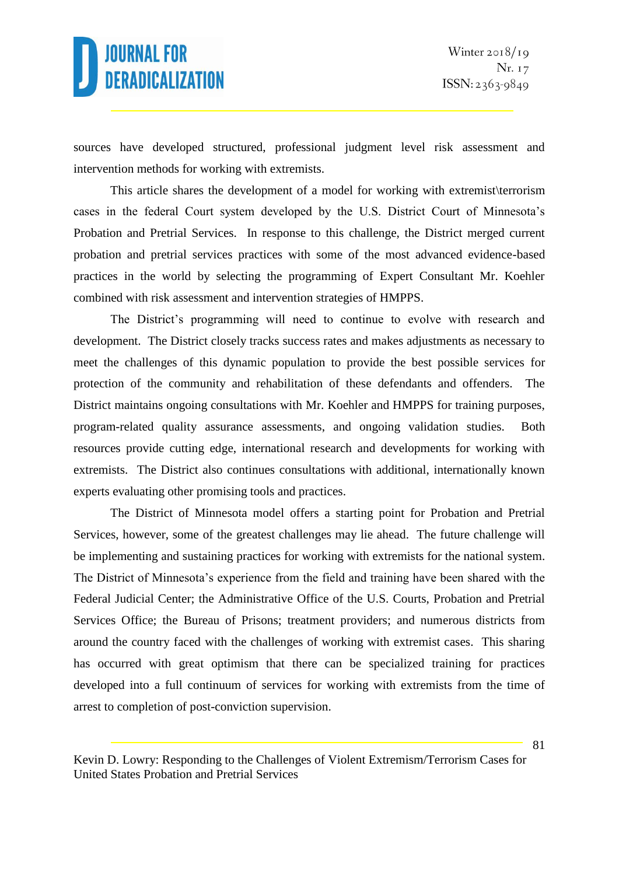sources have developed structured, professional judgment level risk assessment and intervention methods for working with extremists.

This article shares the development of a model for working with extremist\terrorism cases in the federal Court system developed by the U.S. District Court of Minnesota's Probation and Pretrial Services. In response to this challenge, the District merged current probation and pretrial services practices with some of the most advanced evidence-based practices in the world by selecting the programming of Expert Consultant Mr. Koehler combined with risk assessment and intervention strategies of HMPPS.

The District's programming will need to continue to evolve with research and development. The District closely tracks success rates and makes adjustments as necessary to meet the challenges of this dynamic population to provide the best possible services for protection of the community and rehabilitation of these defendants and offenders. The District maintains ongoing consultations with Mr. Koehler and HMPPS for training purposes, program-related quality assurance assessments, and ongoing validation studies. Both resources provide cutting edge, international research and developments for working with extremists. The District also continues consultations with additional, internationally known experts evaluating other promising tools and practices.

The District of Minnesota model offers a starting point for Probation and Pretrial Services, however, some of the greatest challenges may lie ahead. The future challenge will be implementing and sustaining practices for working with extremists for the national system. The District of Minnesota's experience from the field and training have been shared with the Federal Judicial Center; the Administrative Office of the U.S. Courts, Probation and Pretrial Services Office; the Bureau of Prisons; treatment providers; and numerous districts from around the country faced with the challenges of working with extremist cases. This sharing has occurred with great optimism that there can be specialized training for practices developed into a full continuum of services for working with extremists from the time of arrest to completion of post-conviction supervision.

Kevin D. Lowry: Responding to the Challenges of Violent Extremism/Terrorism Cases for United States Probation and Pretrial Services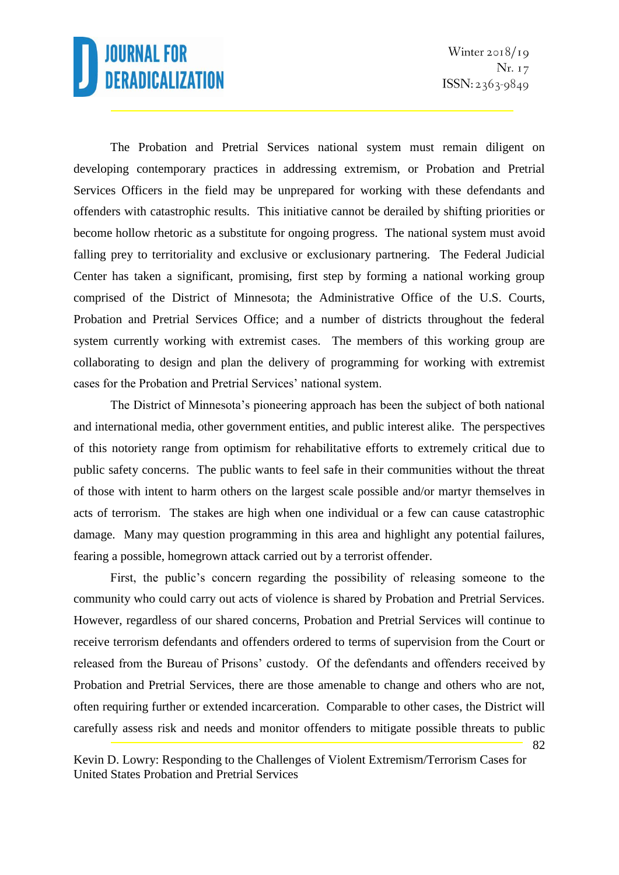82

The Probation and Pretrial Services national system must remain diligent on developing contemporary practices in addressing extremism, or Probation and Pretrial Services Officers in the field may be unprepared for working with these defendants and offenders with catastrophic results. This initiative cannot be derailed by shifting priorities or become hollow rhetoric as a substitute for ongoing progress. The national system must avoid falling prey to territoriality and exclusive or exclusionary partnering. The Federal Judicial Center has taken a significant, promising, first step by forming a national working group comprised of the District of Minnesota; the Administrative Office of the U.S. Courts, Probation and Pretrial Services Office; and a number of districts throughout the federal system currently working with extremist cases. The members of this working group are collaborating to design and plan the delivery of programming for working with extremist cases for the Probation and Pretrial Services' national system.

The District of Minnesota's pioneering approach has been the subject of both national and international media, other government entities, and public interest alike. The perspectives of this notoriety range from optimism for rehabilitative efforts to extremely critical due to public safety concerns. The public wants to feel safe in their communities without the threat of those with intent to harm others on the largest scale possible and/or martyr themselves in acts of terrorism. The stakes are high when one individual or a few can cause catastrophic damage. Many may question programming in this area and highlight any potential failures, fearing a possible, homegrown attack carried out by a terrorist offender.

First, the public's concern regarding the possibility of releasing someone to the community who could carry out acts of violence is shared by Probation and Pretrial Services. However, regardless of our shared concerns, Probation and Pretrial Services will continue to receive terrorism defendants and offenders ordered to terms of supervision from the Court or released from the Bureau of Prisons' custody. Of the defendants and offenders received by Probation and Pretrial Services, there are those amenable to change and others who are not, often requiring further or extended incarceration. Comparable to other cases, the District will carefully assess risk and needs and monitor offenders to mitigate possible threats to public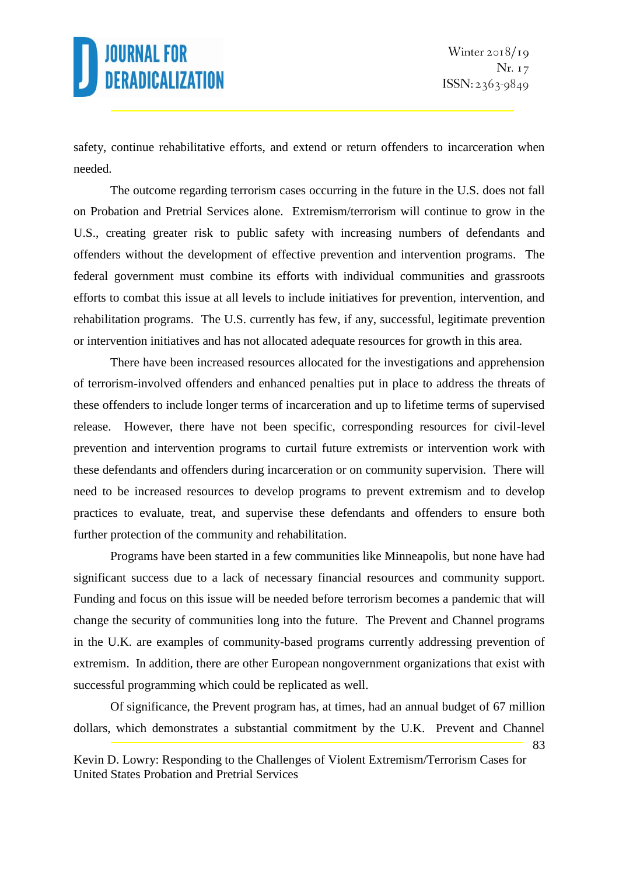safety, continue rehabilitative efforts, and extend or return offenders to incarceration when needed.

The outcome regarding terrorism cases occurring in the future in the U.S. does not fall on Probation and Pretrial Services alone. Extremism/terrorism will continue to grow in the U.S., creating greater risk to public safety with increasing numbers of defendants and offenders without the development of effective prevention and intervention programs. The federal government must combine its efforts with individual communities and grassroots efforts to combat this issue at all levels to include initiatives for prevention, intervention, and rehabilitation programs. The U.S. currently has few, if any, successful, legitimate prevention or intervention initiatives and has not allocated adequate resources for growth in this area.

There have been increased resources allocated for the investigations and apprehension of terrorism-involved offenders and enhanced penalties put in place to address the threats of these offenders to include longer terms of incarceration and up to lifetime terms of supervised release. However, there have not been specific, corresponding resources for civil-level prevention and intervention programs to curtail future extremists or intervention work with these defendants and offenders during incarceration or on community supervision. There will need to be increased resources to develop programs to prevent extremism and to develop practices to evaluate, treat, and supervise these defendants and offenders to ensure both further protection of the community and rehabilitation.

Programs have been started in a few communities like Minneapolis, but none have had significant success due to a lack of necessary financial resources and community support. Funding and focus on this issue will be needed before terrorism becomes a pandemic that will change the security of communities long into the future. The Prevent and Channel programs in the U.K. are examples of community-based programs currently addressing prevention of extremism. In addition, there are other European nongovernment organizations that exist with successful programming which could be replicated as well.

83 Of significance, the Prevent program has, at times, had an annual budget of 67 million dollars, which demonstrates a substantial commitment by the U.K. Prevent and Channel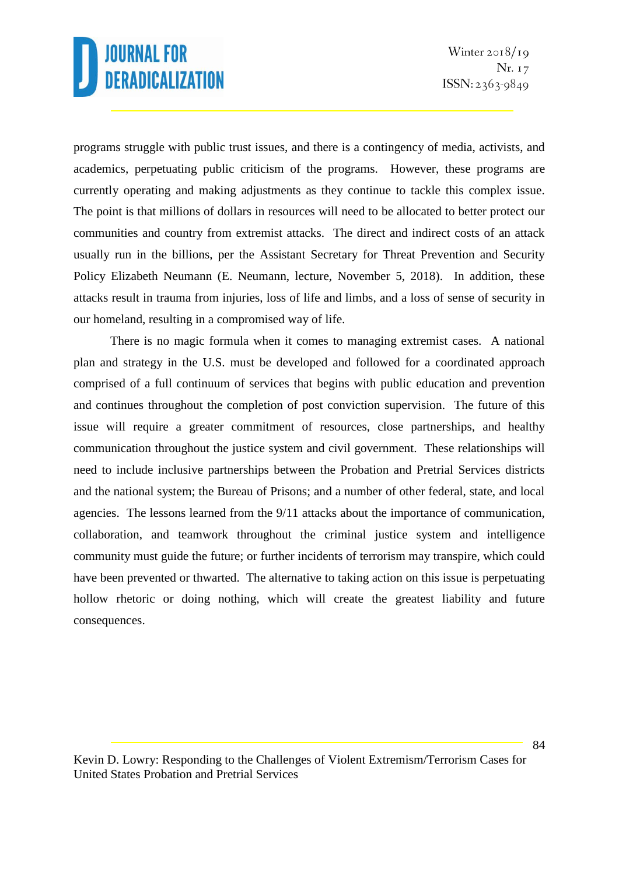programs struggle with public trust issues, and there is a contingency of media, activists, and academics, perpetuating public criticism of the programs. However, these programs are currently operating and making adjustments as they continue to tackle this complex issue. The point is that millions of dollars in resources will need to be allocated to better protect our communities and country from extremist attacks. The direct and indirect costs of an attack usually run in the billions, per the Assistant Secretary for Threat Prevention and Security Policy Elizabeth Neumann (E. Neumann, lecture, November 5, 2018). In addition, these attacks result in trauma from injuries, loss of life and limbs, and a loss of sense of security in our homeland, resulting in a compromised way of life.

There is no magic formula when it comes to managing extremist cases. A national plan and strategy in the U.S. must be developed and followed for a coordinated approach comprised of a full continuum of services that begins with public education and prevention and continues throughout the completion of post conviction supervision. The future of this issue will require a greater commitment of resources, close partnerships, and healthy communication throughout the justice system and civil government. These relationships will need to include inclusive partnerships between the Probation and Pretrial Services districts and the national system; the Bureau of Prisons; and a number of other federal, state, and local agencies. The lessons learned from the 9/11 attacks about the importance of communication, collaboration, and teamwork throughout the criminal justice system and intelligence community must guide the future; or further incidents of terrorism may transpire, which could have been prevented or thwarted. The alternative to taking action on this issue is perpetuating hollow rhetoric or doing nothing, which will create the greatest liability and future consequences.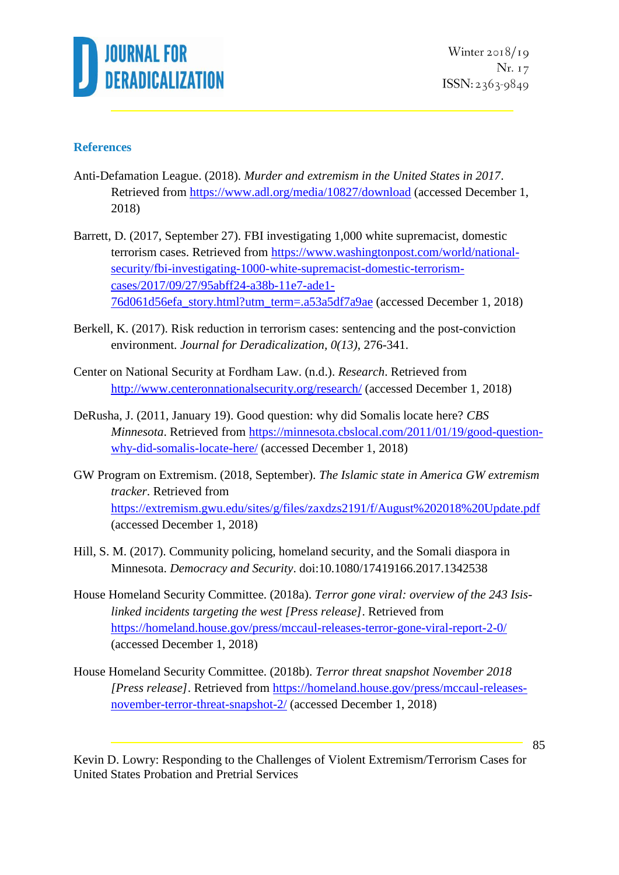

Winter  $2018/19$ Nr. 17 ISSN: 2363-9849

#### **References**

- Anti-Defamation League. (2018). *Murder and extremism in the United States in 2017*. Retrieved from<https://www.adl.org/media/10827/download> (accessed December 1, 2018)
- Barrett, D. (2017, September 27). FBI investigating 1,000 white supremacist, domestic terrorism cases. Retrieved from [https://www.washingtonpost.com/world/national](https://www.washingtonpost.com/world/national-security/fbi-investigating-1000-white-supremacist-domestic-terrorism-cases/2017/09/27/95abff24-a38b-11e7-ade1-76d061d56efa_story.html?utm_term=.a53a5df7a9ae)[security/fbi-investigating-1000-white-supremacist-domestic-terrorism](https://www.washingtonpost.com/world/national-security/fbi-investigating-1000-white-supremacist-domestic-terrorism-cases/2017/09/27/95abff24-a38b-11e7-ade1-76d061d56efa_story.html?utm_term=.a53a5df7a9ae)[cases/2017/09/27/95abff24-a38b-11e7-ade1-](https://www.washingtonpost.com/world/national-security/fbi-investigating-1000-white-supremacist-domestic-terrorism-cases/2017/09/27/95abff24-a38b-11e7-ade1-76d061d56efa_story.html?utm_term=.a53a5df7a9ae) [76d061d56efa\\_story.html?utm\\_term=.a53a5df7a9ae](https://www.washingtonpost.com/world/national-security/fbi-investigating-1000-white-supremacist-domestic-terrorism-cases/2017/09/27/95abff24-a38b-11e7-ade1-76d061d56efa_story.html?utm_term=.a53a5df7a9ae) (accessed December 1, 2018)
- Berkell, K. (2017). Risk reduction in terrorism cases: sentencing and the post-conviction environment. *Journal for Deradicalization, 0(13)*, 276-341.
- Center on National Security at Fordham Law. (n.d.). *Research*. Retrieved from <http://www.centeronnationalsecurity.org/research/> (accessed December 1, 2018)
- DeRusha, J. (2011, January 19). Good question: why did Somalis locate here? *CBS Minnesota*. Retrieved from [https://minnesota.cbslocal.com/2011/01/19/good-question](https://minnesota.cbslocal.com/2011/01/19/good-question-why-did-somalis-locate-here/)[why-did-somalis-locate-here/](https://minnesota.cbslocal.com/2011/01/19/good-question-why-did-somalis-locate-here/) (accessed December 1, 2018)
- GW Program on Extremism. (2018, September). *The Islamic state in America GW extremism tracker*. Retrieved from <https://extremism.gwu.edu/sites/g/files/zaxdzs2191/f/August%202018%20Update.pdf> (accessed December 1, 2018)
- Hill, S. M. (2017). Community policing, homeland security, and the Somali diaspora in Minnesota. *Democracy and Security*. doi:10.1080/17419166.2017.1342538
- House Homeland Security Committee. (2018a). *Terror gone viral: overview of the 243 Isislinked incidents targeting the west [Press release]*. Retrieved from <https://homeland.house.gov/press/mccaul-releases-terror-gone-viral-report-2-0/> (accessed December 1, 2018)
- House Homeland Security Committee. (2018b). *Terror threat snapshot November 2018 [Press release]*. Retrieved from [https://homeland.house.gov/press/mccaul-releases](https://homeland.house.gov/press/mccaul-releases-november-terror-threat-snapshot-2/)[november-terror-threat-snapshot-2/](https://homeland.house.gov/press/mccaul-releases-november-terror-threat-snapshot-2/) (accessed December 1, 2018)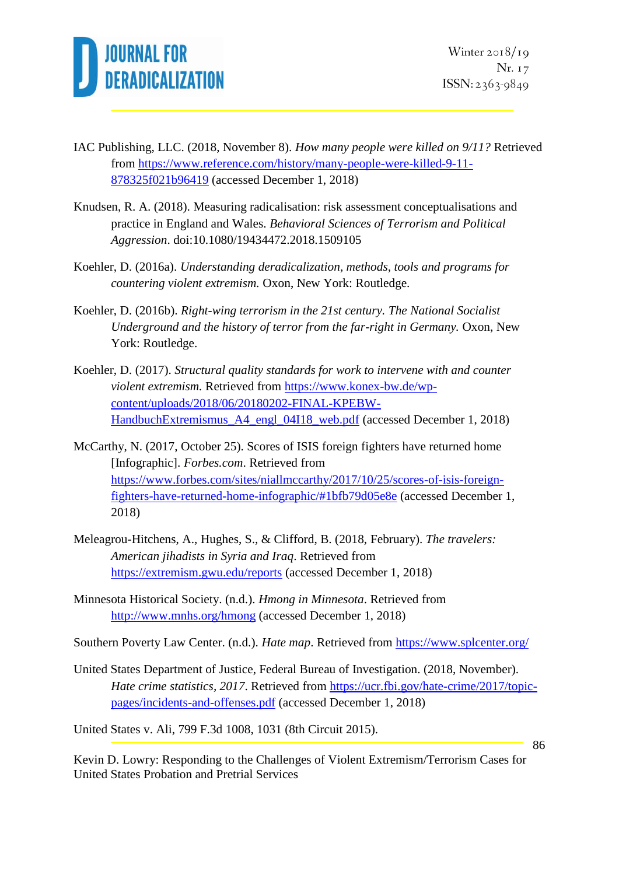

- IAC Publishing, LLC. (2018, November 8). *How many people were killed on 9/11?* Retrieved from [https://www.reference.com/history/many-people-were-killed-9-11-](https://www.reference.com/history/many-people-were-killed-9-11-878325f021b96419) [878325f021b96419](https://www.reference.com/history/many-people-were-killed-9-11-878325f021b96419) (accessed December 1, 2018)
- Knudsen, R. A. (2018). Measuring radicalisation: risk assessment conceptualisations and practice in England and Wales. *Behavioral Sciences of Terrorism and Political Aggression*. doi:10.1080/19434472.2018.1509105
- Koehler, D. (2016a). *Understanding deradicalization, methods, tools and programs for countering violent extremism.* Oxon, New York: Routledge.
- Koehler, D. (2016b). *Right-wing terrorism in the 21st century. The National Socialist Underground and the history of terror from the far-right in Germany.* Oxon, New York: Routledge.
- Koehler, D. (2017). *Structural quality standards for work to intervene with and counter violent extremism.* Retrieved from [https://www.konex-bw.de/wp](https://www.konex-bw.de/wp-content/uploads/2018/06/20180202-FINAL-KPEBW-HandbuchExtremismus_A4_engl_04I18_web.pdf)[content/uploads/2018/06/20180202-FINAL-KPEBW-](https://www.konex-bw.de/wp-content/uploads/2018/06/20180202-FINAL-KPEBW-HandbuchExtremismus_A4_engl_04I18_web.pdf)[HandbuchExtremismus\\_A4\\_engl\\_04I18\\_web.pdf](https://www.konex-bw.de/wp-content/uploads/2018/06/20180202-FINAL-KPEBW-HandbuchExtremismus_A4_engl_04I18_web.pdf) (accessed December 1, 2018)
- McCarthy, N. (2017, October 25). Scores of ISIS foreign fighters have returned home [Infographic]. *Forbes.com*. Retrieved from [https://www.forbes.com/sites/niallmccarthy/2017/10/25/scores-of-isis-foreign](https://www.forbes.com/sites/niallmccarthy/2017/10/25/scores-of-isis-foreign-fighters-have-returned-home-infographic/#1bfb79d05e8e)[fighters-have-returned-home-infographic/#1bfb79d05e8e](https://www.forbes.com/sites/niallmccarthy/2017/10/25/scores-of-isis-foreign-fighters-have-returned-home-infographic/#1bfb79d05e8e) (accessed December 1, 2018)
- Meleagrou-Hitchens, A., Hughes, S., & Clifford, B. (2018, February). *The travelers: American jihadists in Syria and Iraq*. Retrieved from <https://extremism.gwu.edu/reports> (accessed December 1, 2018)
- Minnesota Historical Society. (n.d.). *Hmong in Minnesota*. Retrieved from <http://www.mnhs.org/hmong> (accessed December 1, 2018)
- Southern Poverty Law Center. (n.d.). *Hate map*. Retrieved from<https://www.splcenter.org/>
- United States Department of Justice, Federal Bureau of Investigation. (2018, November). *Hate crime statistics, 2017.* Retrieved from [https://ucr.fbi.gov/hate-crime/2017/topic](https://ucr.fbi.gov/hate-crime/2017/topic-pages/incidents-and-offenses.pdf)[pages/incidents-and-offenses.pdf](https://ucr.fbi.gov/hate-crime/2017/topic-pages/incidents-and-offenses.pdf) (accessed December 1, 2018)

United States v. Ali, 799 F.3d 1008, 1031 (8th Circuit 2015).

86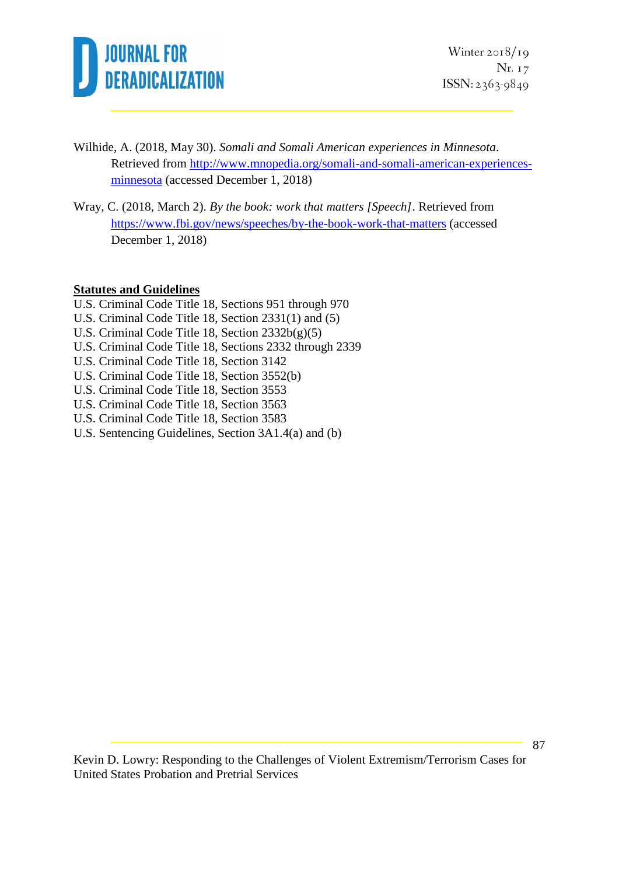

Winter  $2018/19$ Nr. 17 ISSN: 2363-9849

- Wilhide, A. (2018, May 30). *Somali and Somali American experiences in Minnesota*. Retrieved from [http://www.mnopedia.org/somali-and-somali-american-experiences](http://www.mnopedia.org/somali-and-somali-american-experiences-minnesota)[minnesota](http://www.mnopedia.org/somali-and-somali-american-experiences-minnesota) (accessed December 1, 2018)
- Wray, C. (2018, March 2). *By the book: work that matters [Speech]*. Retrieved from <https://www.fbi.gov/news/speeches/by-the-book-work-that-matters> (accessed December 1, 2018)

#### **Statutes and Guidelines**

- U.S. Criminal Code Title 18, Sections 951 through 970
- U.S. Criminal Code Title 18, Section 2331(1) and (5)
- U.S. Criminal Code Title 18, Section 2332b(g)(5)
- U.S. Criminal Code Title 18, Sections 2332 through 2339
- U.S. Criminal Code Title 18, Section 3142
- U.S. Criminal Code Title 18, Section 3552(b)
- U.S. Criminal Code Title 18, Section 3553
- U.S. Criminal Code Title 18, Section 3563
- U.S. Criminal Code Title 18, Section 3583
- U.S. Sentencing Guidelines, Section 3A1.4(a) and (b)